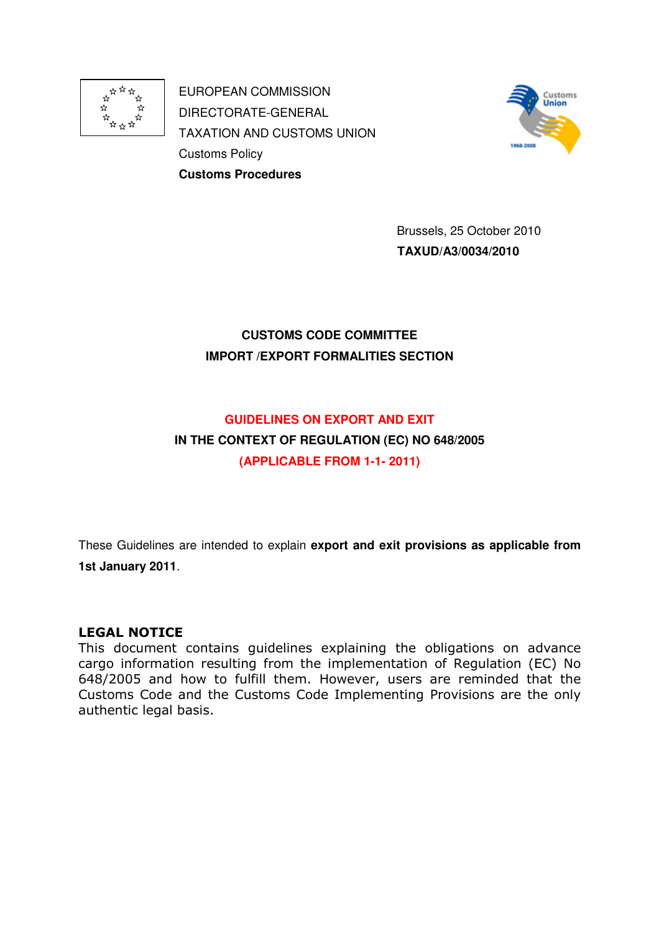

EUROPEAN COMMISSION DIRECTORATE-GENERAL TAXATION AND CUSTOMS UNION Customs Policy **Customs Procedures**



 Brussels, 25 October 2010  **TAXUD/A3/0034/2010** 

# **CUSTOMS CODE COMMITTEE IMPORT /EXPORT FORMALITIES SECTION**

# **GUIDELINES ON EXPORT AND EXIT**

# **IN THE CONTEXT OF REGULATION (EC) NO 648/2005 (APPLICABLE FROM 1-1- 2011)**

These Guidelines are intended to explain **export and exit provisions as applicable from 1st January 2011**.

# LEGAL NOTICE

This document contains guidelines explaining the obligations on advance cargo information resulting from the implementation of Regulation (EC) No 648/2005 and how to fulfill them. However, users are reminded that the Customs Code and the Customs Code Implementing Provisions are the only authentic legal basis.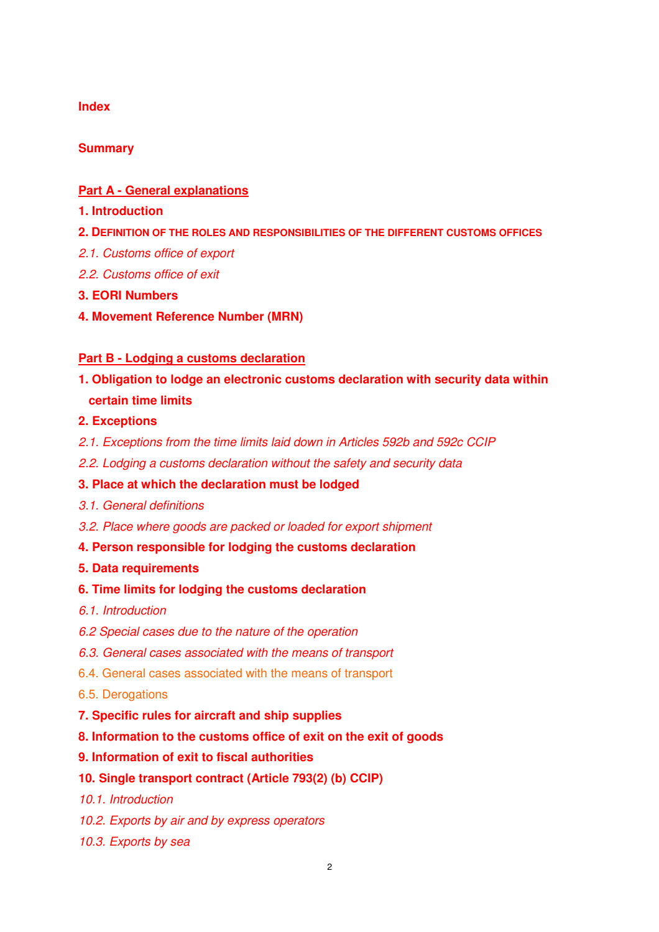### **Index**

# **Summary**

### **Part A - General explanations**

- **1. Introduction**
- **2. DEFINITION OF THE ROLES AND RESPONSIBILITIES OF THE DIFFERENT CUSTOMS OFFICES**
- 2.1. Customs office of export
- 2.2. Customs office of exit
- **3. EORI Numbers**
- **4. Movement Reference Number (MRN)**

### **Part B - Lodging a customs declaration**

**1. Obligation to lodge an electronic customs declaration with security data within certain time limits** 

### **2. Exceptions**

- 2.1. Exceptions from the time limits laid down in Articles 592b and 592c CCIP
- 2.2. Lodging a customs declaration without the safety and security data

# **3. Place at which the declaration must be lodged**

- 3.1. General definitions
- 3.2. Place where goods are packed or loaded for export shipment
- **4. Person responsible for lodging the customs declaration**

### **5. Data requirements**

### **6. Time limits for lodging the customs declaration**

- 6.1. Introduction
- 6.2 Special cases due to the nature of the operation
- 6.3. General cases associated with the means of transport
- 6.4. General cases associated with the means of transport
- 6.5. Derogations
- **7. Specific rules for aircraft and ship supplies**
- **8. Information to the customs office of exit on the exit of goods**
- **9. Information of exit to fiscal authorities**

# **10. Single transport contract (Article 793(2) (b) CCIP)**

- 10.1. Introduction
- 10.2. Exports by air and by express operators
- 10.3. Exports by sea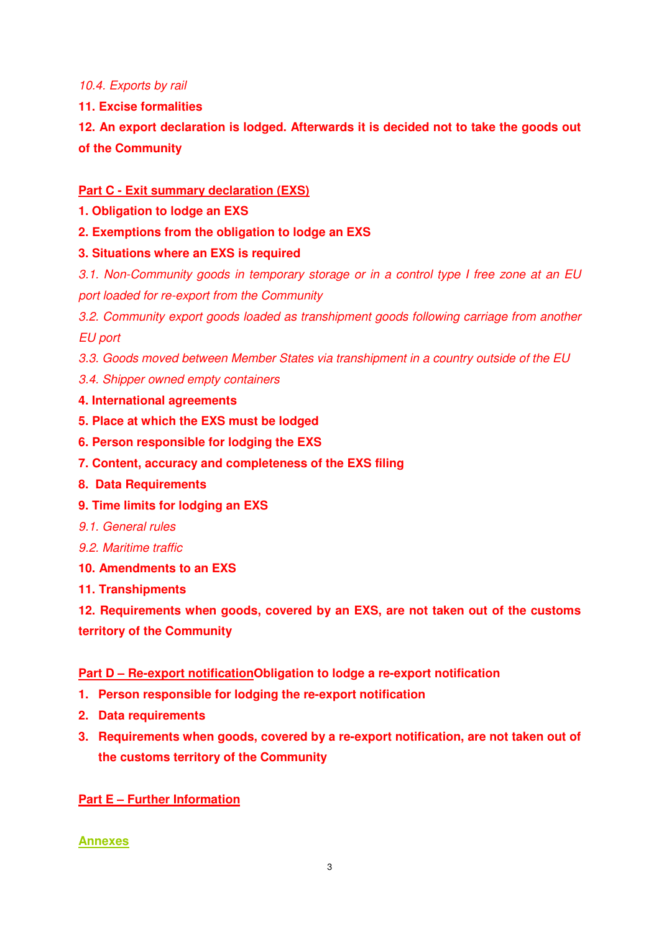10.4. Exports by rail

**11. Excise formalities** 

**12. An export declaration is lodged. Afterwards it is decided not to take the goods out of the Community**

# **Part C - Exit summary declaration (EXS)**

- **1. Obligation to lodge an EXS**
- **2. Exemptions from the obligation to lodge an EXS**

# **3. Situations where an EXS is required**

3.1. Non-Community goods in temporary storage or in a control type I free zone at an EU port loaded for re-export from the Community

3.2. Community export goods loaded as transhipment goods following carriage from another EU port

3.3. Goods moved between Member States via transhipment in a country outside of the EU

- 3.4. Shipper owned empty containers
- **4. International agreements**
- **5. Place at which the EXS must be lodged**
- **6. Person responsible for lodging the EXS**
- **7. Content, accuracy and completeness of the EXS filing**
- **8. Data Requirements**
- **9. Time limits for lodging an EXS**
- 9.1. General rules
- 9.2. Maritime traffic
- **10. Amendments to an EXS**
- **11. Transhipments**

**12. Requirements when goods, covered by an EXS, are not taken out of the customs territory of the Community** 

# **Part D – Re-export notificationObligation to lodge a re-export notification**

- **1. Person responsible for lodging the re-export notification**
- **2. Data requirements**
- **3. Requirements when goods, covered by a re-export notification, are not taken out of the customs territory of the Community**

# **Part E – Further Information**

# **Annexes**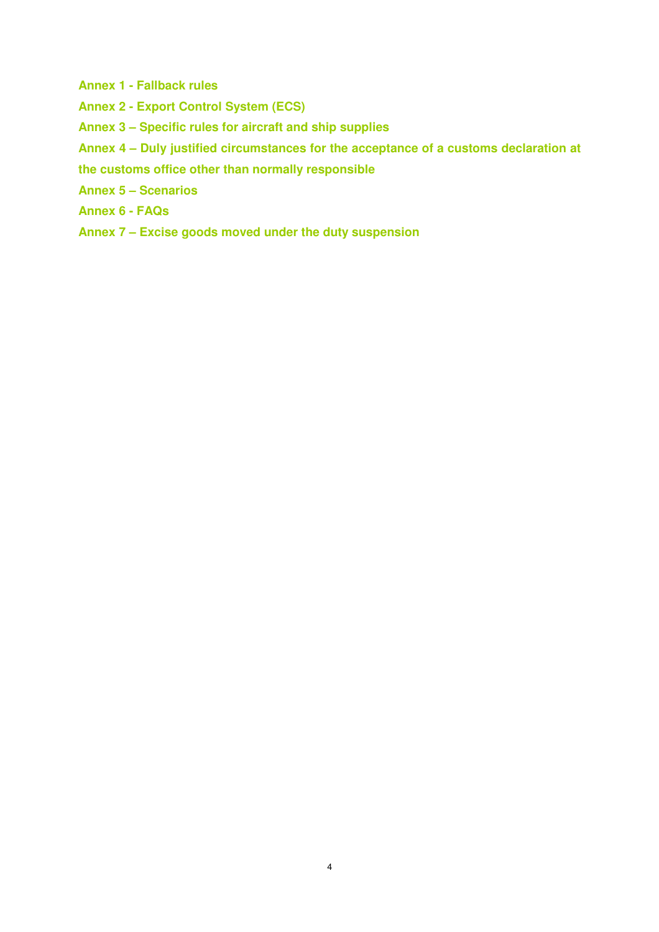- **Annex 1 Fallback rules**
- **Annex 2 Export Control System (ECS)**
- **Annex 3 Specific rules for aircraft and ship supplies**
- **Annex 4 Duly justified circumstances for the acceptance of a customs declaration at**
- **the customs office other than normally responsible**
- **Annex 5 Scenarios**
- **Annex 6 FAQs**
- **Annex 7 Excise goods moved under the duty suspension**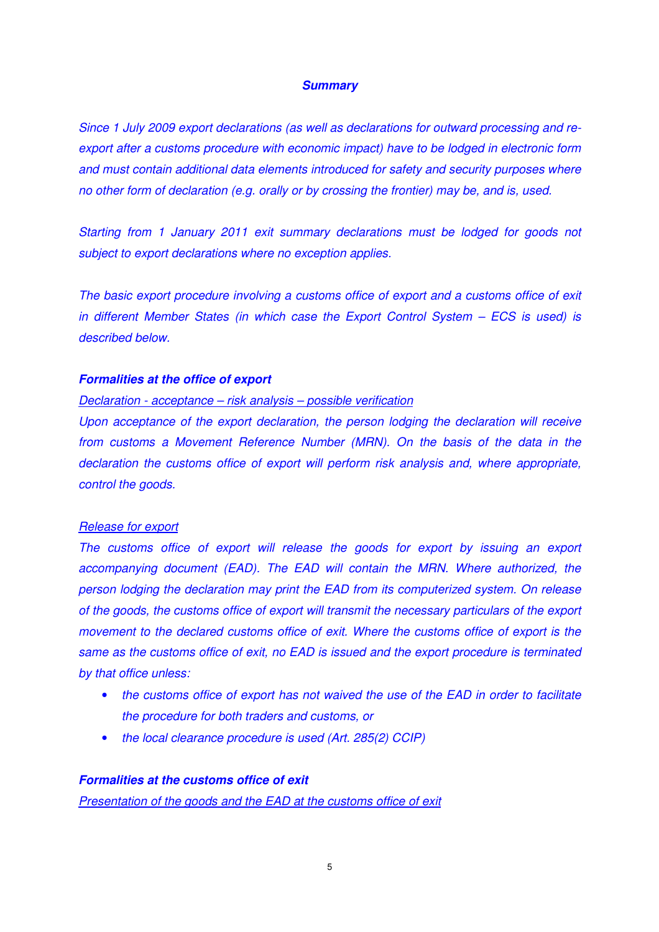#### **Summary**

Since 1 July 2009 export declarations (as well as declarations for outward processing and reexport after a customs procedure with economic impact) have to be lodged in electronic form and must contain additional data elements introduced for safety and security purposes where no other form of declaration (e.g. orally or by crossing the frontier) may be, and is, used.

Starting from 1 January 2011 exit summary declarations must be lodged for goods not subject to export declarations where no exception applies.

The basic export procedure involving a customs office of export and a customs office of exit in different Member States (in which case the Export Control System – ECS is used) is described below.

#### **Formalities at the office of export**

#### Declaration - acceptance – risk analysis – possible verification

Upon acceptance of the export declaration, the person lodging the declaration will receive from customs a Movement Reference Number (MRN). On the basis of the data in the declaration the customs office of export will perform risk analysis and, where appropriate, control the goods.

### Release for export

The customs office of export will release the goods for export by issuing an export accompanying document (EAD). The EAD will contain the MRN. Where authorized, the person lodging the declaration may print the EAD from its computerized system. On release of the goods, the customs office of export will transmit the necessary particulars of the export movement to the declared customs office of exit. Where the customs office of export is the same as the customs office of exit, no EAD is issued and the export procedure is terminated by that office unless:

- the customs office of export has not waived the use of the EAD in order to facilitate the procedure for both traders and customs, or
- the local clearance procedure is used (Art. 285(2) CCIP)

#### **Formalities at the customs office of exit**

Presentation of the goods and the EAD at the customs office of exit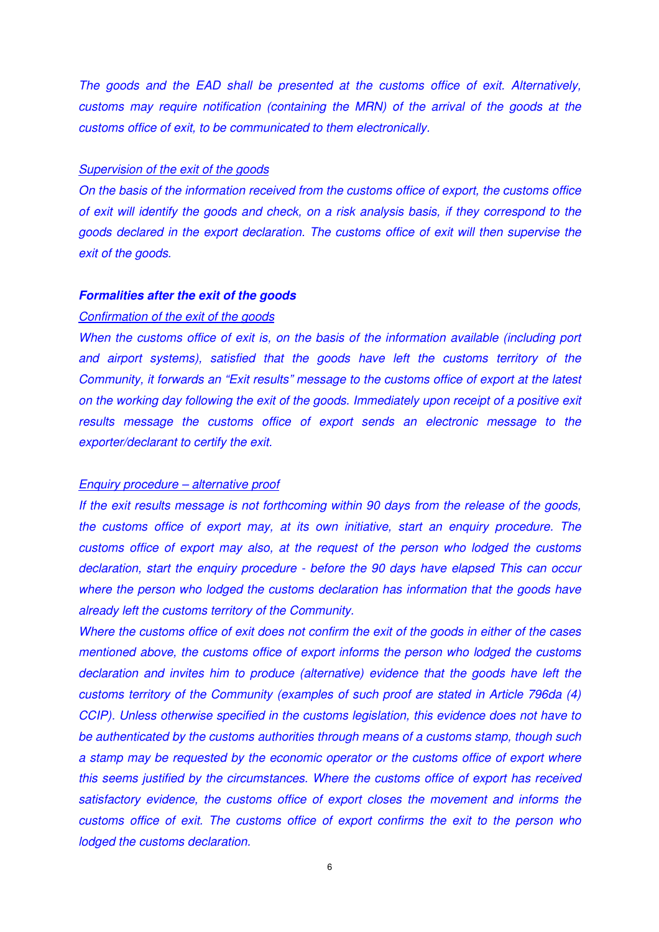The goods and the EAD shall be presented at the customs office of exit. Alternatively, customs may require notification (containing the MRN) of the arrival of the goods at the customs office of exit, to be communicated to them electronically.

#### Supervision of the exit of the goods

On the basis of the information received from the customs office of export, the customs office of exit will identify the goods and check, on a risk analysis basis, if they correspond to the goods declared in the export declaration. The customs office of exit will then supervise the exit of the goods.

#### **Formalities after the exit of the goods**

#### Confirmation of the exit of the goods

When the customs office of exit is, on the basis of the information available (including port and airport systems), satisfied that the goods have left the customs territory of the Community, it forwards an "Exit results" message to the customs office of export at the latest on the working day following the exit of the goods. Immediately upon receipt of a positive exit results message the customs office of export sends an electronic message to the exporter/declarant to certify the exit.

#### Enquiry procedure – alternative proof

If the exit results message is not forthcoming within 90 days from the release of the goods, the customs office of export may, at its own initiative, start an enquiry procedure. The customs office of export may also, at the request of the person who lodged the customs declaration, start the enquiry procedure - before the 90 days have elapsed This can occur where the person who lodged the customs declaration has information that the goods have already left the customs territory of the Community.

Where the customs office of exit does not confirm the exit of the goods in either of the cases mentioned above, the customs office of export informs the person who lodged the customs declaration and invites him to produce (alternative) evidence that the goods have left the customs territory of the Community (examples of such proof are stated in Article 796da (4) CCIP). Unless otherwise specified in the customs legislation, this evidence does not have to be authenticated by the customs authorities through means of a customs stamp, though such a stamp may be requested by the economic operator or the customs office of export where this seems justified by the circumstances. Where the customs office of export has received satisfactory evidence, the customs office of export closes the movement and informs the customs office of exit. The customs office of export confirms the exit to the person who lodged the customs declaration.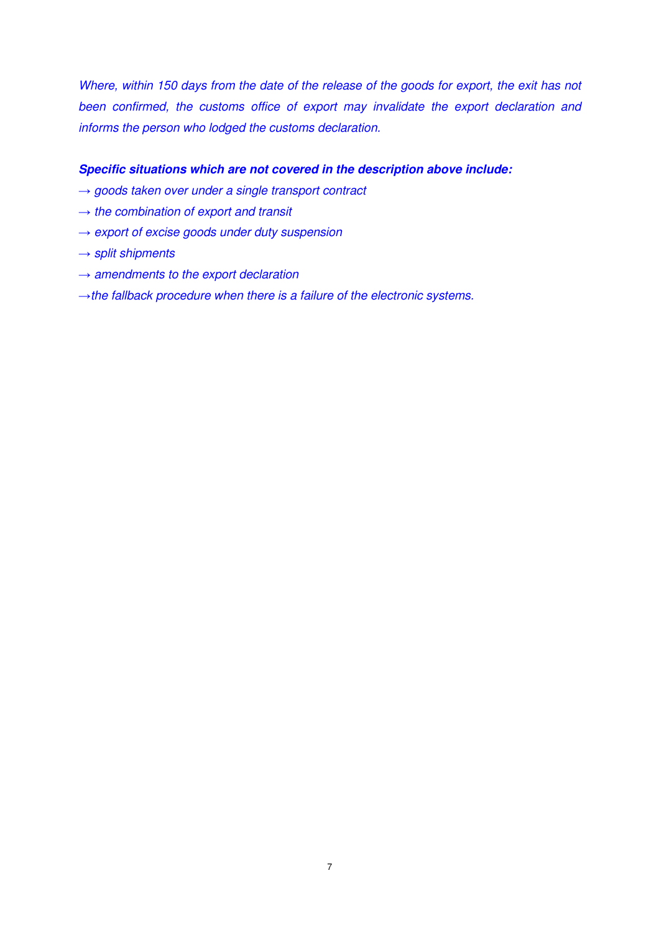Where, within 150 days from the date of the release of the goods for export, the exit has not been confirmed, the customs office of export may invalidate the export declaration and informs the person who lodged the customs declaration.

### **Specific situations which are not covered in the description above include:**

- $\rightarrow$  goods taken over under a single transport contract
- $\rightarrow$  the combination of export and transit
- $\rightarrow$  export of excise goods under duty suspension
- $\rightarrow$  split shipments
- $\rightarrow$  amendments to the export declaration
- $\rightarrow$  the fallback procedure when there is a failure of the electronic systems.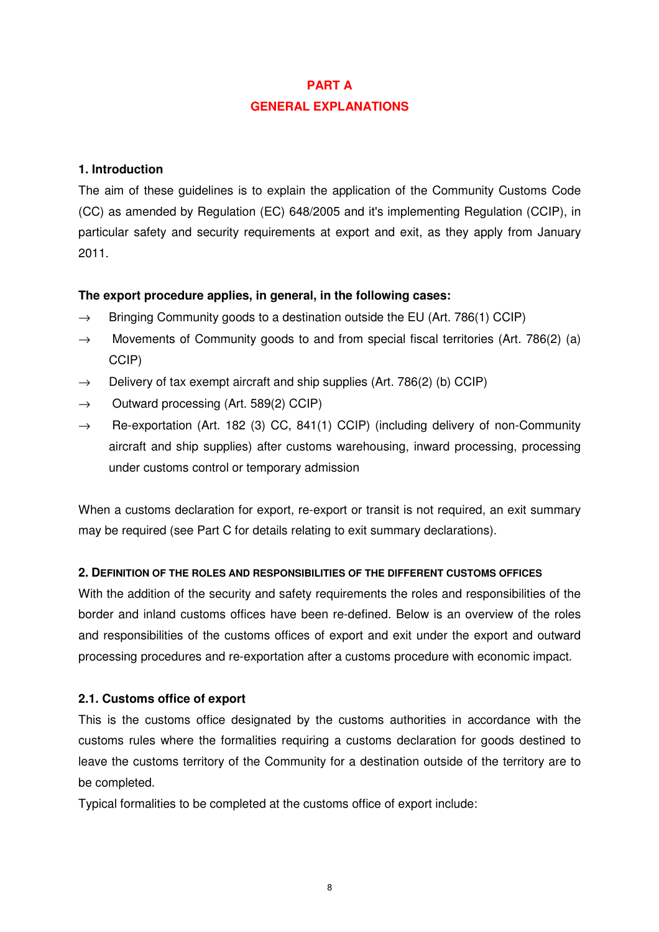# **PART A GENERAL EXPLANATIONS**

# **1. Introduction**

The aim of these guidelines is to explain the application of the Community Customs Code (CC) as amended by Regulation (EC) 648/2005 and it's implementing Regulation (CCIP), in particular safety and security requirements at export and exit, as they apply from January 2011.

# **The export procedure applies, in general, in the following cases:**

- $\rightarrow$  Bringing Community goods to a destination outside the EU (Art. 786(1) CCIP)
- $\rightarrow$  Movements of Community goods to and from special fiscal territories (Art. 786(2) (a) CCIP)
- $\rightarrow$  Delivery of tax exempt aircraft and ship supplies (Art. 786(2) (b) CCIP)
- $\rightarrow$  Outward processing (Art. 589(2) CCIP)
- $\rightarrow$  Re-exportation (Art. 182 (3) CC, 841(1) CCIP) (including delivery of non-Community aircraft and ship supplies) after customs warehousing, inward processing, processing under customs control or temporary admission

When a customs declaration for export, re-export or transit is not required, an exit summary may be required (see Part C for details relating to exit summary declarations).

# **2. DEFINITION OF THE ROLES AND RESPONSIBILITIES OF THE DIFFERENT CUSTOMS OFFICES**

With the addition of the security and safety requirements the roles and responsibilities of the border and inland customs offices have been re-defined. Below is an overview of the roles and responsibilities of the customs offices of export and exit under the export and outward processing procedures and re-exportation after a customs procedure with economic impact.

# **2.1. Customs office of export**

This is the customs office designated by the customs authorities in accordance with the customs rules where the formalities requiring a customs declaration for goods destined to leave the customs territory of the Community for a destination outside of the territory are to be completed.

Typical formalities to be completed at the customs office of export include: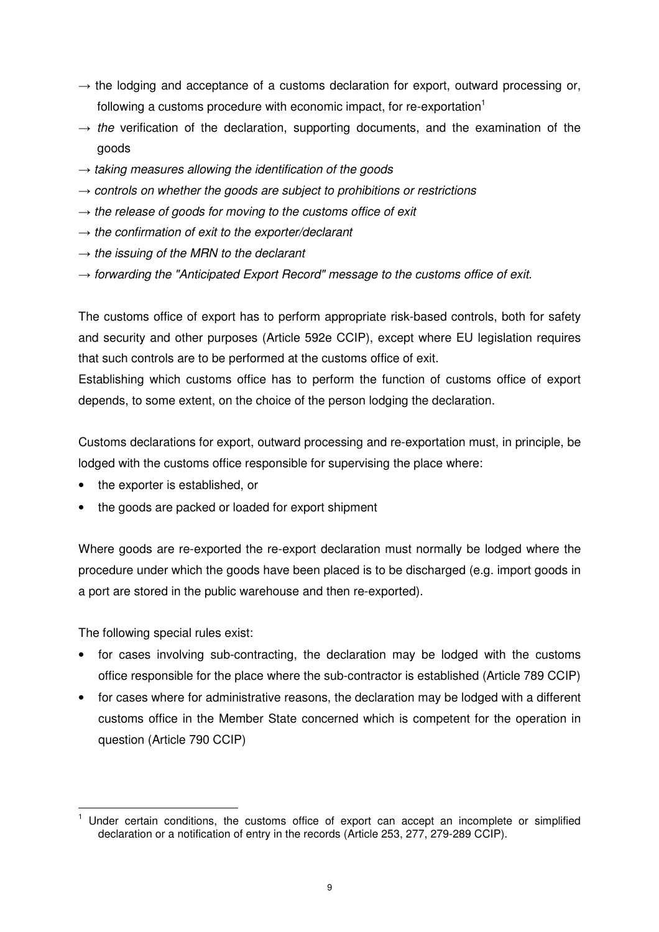- $\rightarrow$  the lodging and acceptance of a customs declaration for export, outward processing or, following a customs procedure with economic impact, for re-exportation $1$
- $\rightarrow$  the verification of the declaration, supporting documents, and the examination of the goods
- $\rightarrow$  taking measures allowing the identification of the goods
- $\rightarrow$  controls on whether the goods are subject to prohibitions or restrictions
- $\rightarrow$  the release of goods for moving to the customs office of exit
- $\rightarrow$  the confirmation of exit to the exporter/declarant
- $\rightarrow$  the issuing of the MRN to the declarant
- $\rightarrow$  forwarding the "Anticipated Export Record" message to the customs office of exit.

The customs office of export has to perform appropriate risk-based controls, both for safety and security and other purposes (Article 592e CCIP), except where EU legislation requires that such controls are to be performed at the customs office of exit.

Establishing which customs office has to perform the function of customs office of export depends, to some extent, on the choice of the person lodging the declaration.

Customs declarations for export, outward processing and re-exportation must, in principle, be lodged with the customs office responsible for supervising the place where:

- the exporter is established, or
- the goods are packed or loaded for export shipment

Where goods are re-exported the re-export declaration must normally be lodged where the procedure under which the goods have been placed is to be discharged (e.g. import goods in a port are stored in the public warehouse and then re-exported).

The following special rules exist:

 $\overline{a}$ 

- for cases involving sub-contracting, the declaration may be lodged with the customs office responsible for the place where the sub-contractor is established (Article 789 CCIP)
- for cases where for administrative reasons, the declaration may be lodged with a different customs office in the Member State concerned which is competent for the operation in question (Article 790 CCIP)

<sup>1</sup> Under certain conditions, the customs office of export can accept an incomplete or simplified declaration or a notification of entry in the records (Article 253, 277, 279-289 CCIP).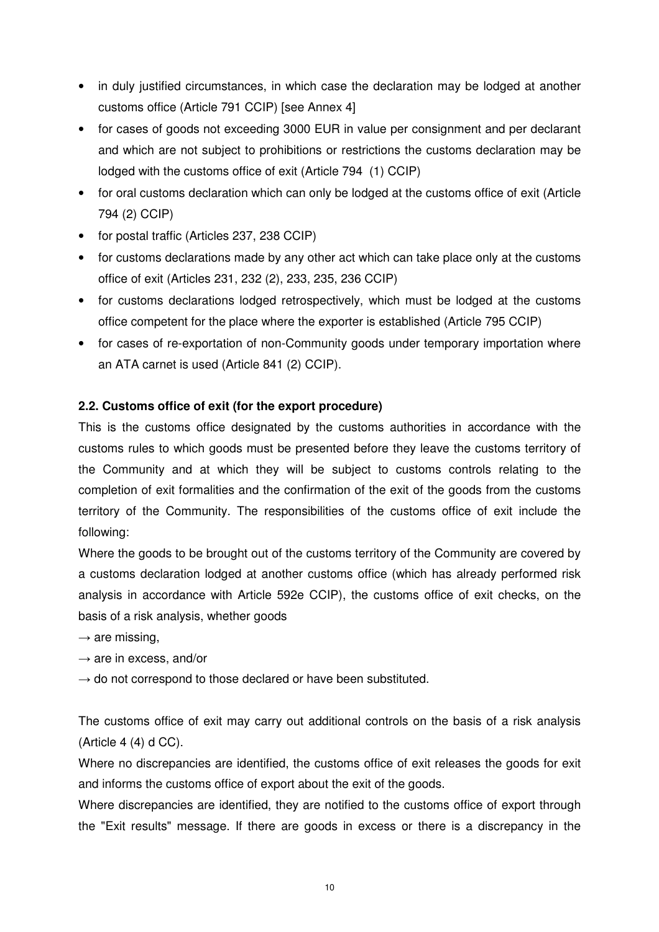- in duly justified circumstances, in which case the declaration may be lodged at another customs office (Article 791 CCIP) [see Annex 4]
- for cases of goods not exceeding 3000 EUR in value per consignment and per declarant and which are not subject to prohibitions or restrictions the customs declaration may be lodged with the customs office of exit (Article 794 (1) CCIP)
- for oral customs declaration which can only be lodged at the customs office of exit (Article 794 (2) CCIP)
- for postal traffic (Articles 237, 238 CCIP)
- for customs declarations made by any other act which can take place only at the customs office of exit (Articles 231, 232 (2), 233, 235, 236 CCIP)
- for customs declarations lodged retrospectively, which must be lodged at the customs office competent for the place where the exporter is established (Article 795 CCIP)
- for cases of re-exportation of non-Community goods under temporary importation where an ATA carnet is used (Article 841 (2) CCIP).

# **2.2. Customs office of exit (for the export procedure)**

This is the customs office designated by the customs authorities in accordance with the customs rules to which goods must be presented before they leave the customs territory of the Community and at which they will be subject to customs controls relating to the completion of exit formalities and the confirmation of the exit of the goods from the customs territory of the Community. The responsibilities of the customs office of exit include the following:

Where the goods to be brought out of the customs territory of the Community are covered by a customs declaration lodged at another customs office (which has already performed risk analysis in accordance with Article 592e CCIP), the customs office of exit checks, on the basis of a risk analysis, whether goods

- $\rightarrow$  are missing,
- $\rightarrow$  are in excess, and/or
- $\rightarrow$  do not correspond to those declared or have been substituted.

The customs office of exit may carry out additional controls on the basis of a risk analysis (Article 4 (4) d CC).

Where no discrepancies are identified, the customs office of exit releases the goods for exit and informs the customs office of export about the exit of the goods.

Where discrepancies are identified, they are notified to the customs office of export through the "Exit results" message. If there are goods in excess or there is a discrepancy in the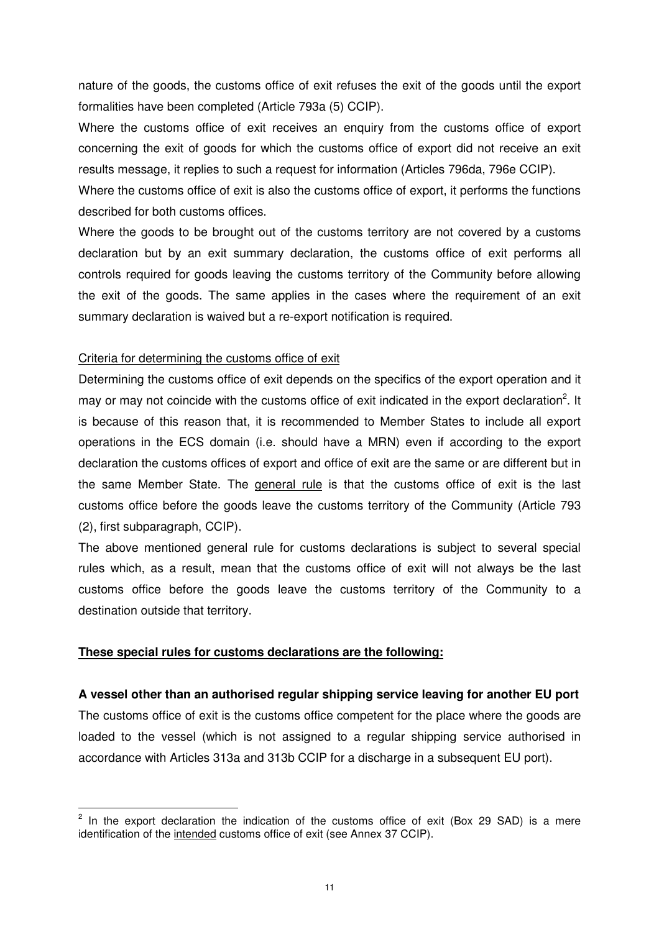nature of the goods, the customs office of exit refuses the exit of the goods until the export formalities have been completed (Article 793a (5) CCIP).

Where the customs office of exit receives an enquiry from the customs office of export concerning the exit of goods for which the customs office of export did not receive an exit results message, it replies to such a request for information (Articles 796da, 796e CCIP).

Where the customs office of exit is also the customs office of export, it performs the functions described for both customs offices.

Where the goods to be brought out of the customs territory are not covered by a customs declaration but by an exit summary declaration, the customs office of exit performs all controls required for goods leaving the customs territory of the Community before allowing the exit of the goods. The same applies in the cases where the requirement of an exit summary declaration is waived but a re-export notification is required.

### Criteria for determining the customs office of exit

Determining the customs office of exit depends on the specifics of the export operation and it may or may not coincide with the customs office of exit indicated in the export declaration<sup>2</sup>. It is because of this reason that, it is recommended to Member States to include all export operations in the ECS domain (i.e. should have a MRN) even if according to the export declaration the customs offices of export and office of exit are the same or are different but in the same Member State. The general rule is that the customs office of exit is the last customs office before the goods leave the customs territory of the Community (Article 793 (2), first subparagraph, CCIP).

The above mentioned general rule for customs declarations is subject to several special rules which, as a result, mean that the customs office of exit will not always be the last customs office before the goods leave the customs territory of the Community to a destination outside that territory.

### **These special rules for customs declarations are the following:**

 $\overline{a}$ 

**A vessel other than an authorised regular shipping service leaving for another EU port**  The customs office of exit is the customs office competent for the place where the goods are loaded to the vessel (which is not assigned to a regular shipping service authorised in accordance with Articles 313a and 313b CCIP for a discharge in a subsequent EU port).

 $2$  In the export declaration the indication of the customs office of exit (Box 29 SAD) is a mere identification of the intended customs office of exit (see Annex 37 CCIP).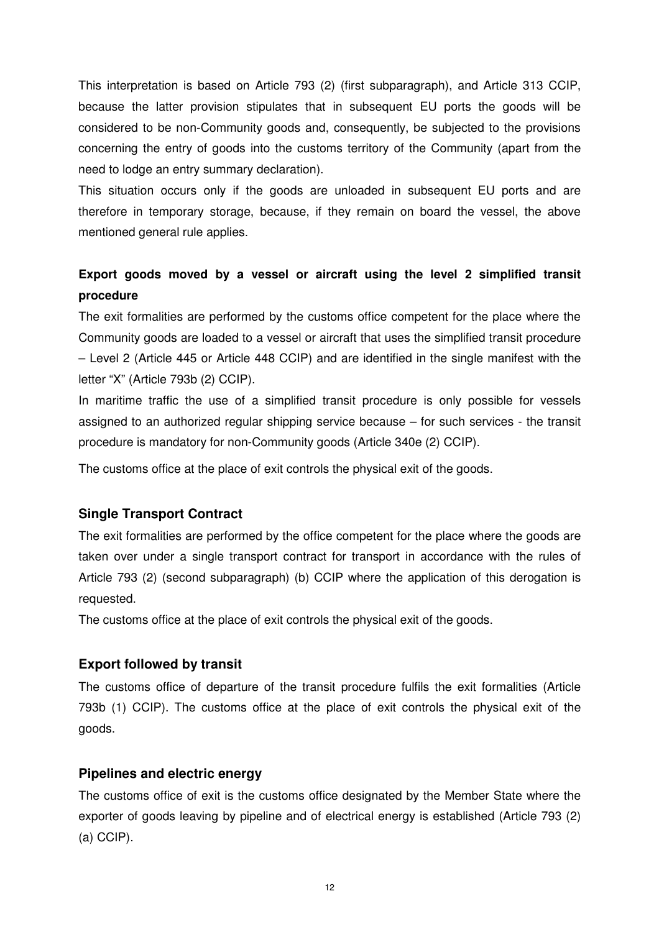This interpretation is based on Article 793 (2) (first subparagraph), and Article 313 CCIP, because the latter provision stipulates that in subsequent EU ports the goods will be considered to be non-Community goods and, consequently, be subjected to the provisions concerning the entry of goods into the customs territory of the Community (apart from the need to lodge an entry summary declaration).

This situation occurs only if the goods are unloaded in subsequent EU ports and are therefore in temporary storage, because, if they remain on board the vessel, the above mentioned general rule applies.

# **Export goods moved by a vessel or aircraft using the level 2 simplified transit procedure**

The exit formalities are performed by the customs office competent for the place where the Community goods are loaded to a vessel or aircraft that uses the simplified transit procedure – Level 2 (Article 445 or Article 448 CCIP) and are identified in the single manifest with the letter "X" (Article 793b (2) CCIP).

In maritime traffic the use of a simplified transit procedure is only possible for vessels assigned to an authorized regular shipping service because – for such services - the transit procedure is mandatory for non-Community goods (Article 340e (2) CCIP).

The customs office at the place of exit controls the physical exit of the goods.

# **Single Transport Contract**

The exit formalities are performed by the office competent for the place where the goods are taken over under a single transport contract for transport in accordance with the rules of Article 793 (2) (second subparagraph) (b) CCIP where the application of this derogation is requested.

The customs office at the place of exit controls the physical exit of the goods.

# **Export followed by transit**

The customs office of departure of the transit procedure fulfils the exit formalities (Article 793b (1) CCIP). The customs office at the place of exit controls the physical exit of the goods.

# **Pipelines and electric energy**

The customs office of exit is the customs office designated by the Member State where the exporter of goods leaving by pipeline and of electrical energy is established (Article 793 (2) (a) CCIP).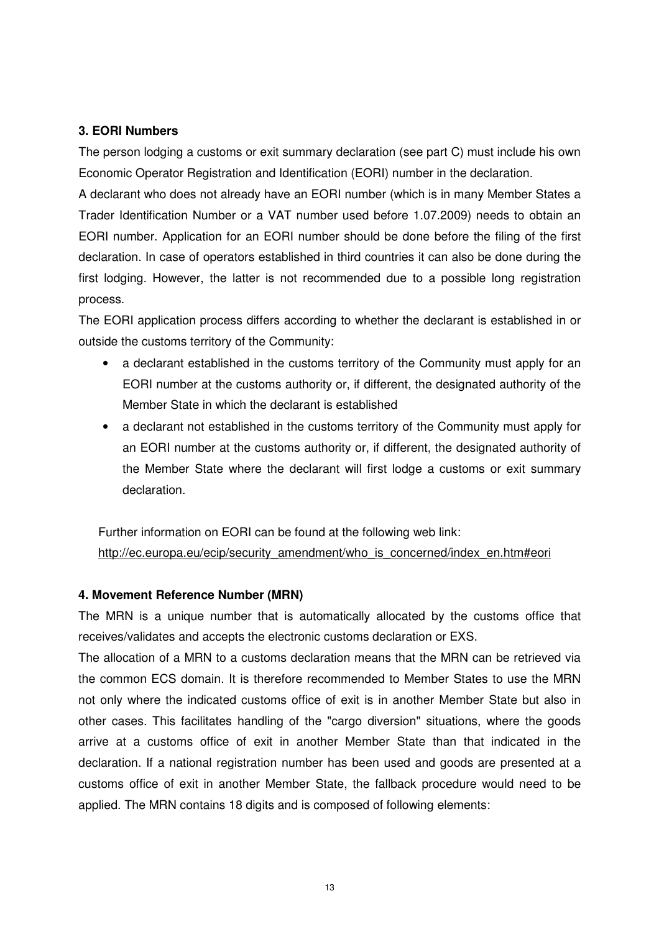### **3. EORI Numbers**

The person lodging a customs or exit summary declaration (see part C) must include his own Economic Operator Registration and Identification (EORI) number in the declaration.

A declarant who does not already have an EORI number (which is in many Member States a Trader Identification Number or a VAT number used before 1.07.2009) needs to obtain an EORI number. Application for an EORI number should be done before the filing of the first declaration. In case of operators established in third countries it can also be done during the first lodging. However, the latter is not recommended due to a possible long registration process.

The EORI application process differs according to whether the declarant is established in or outside the customs territory of the Community:

- a declarant established in the customs territory of the Community must apply for an EORI number at the customs authority or, if different, the designated authority of the Member State in which the declarant is established
- a declarant not established in the customs territory of the Community must apply for an EORI number at the customs authority or, if different, the designated authority of the Member State where the declarant will first lodge a customs or exit summary declaration.

Further information on EORI can be found at the following web link: http://ec.europa.eu/ecip/security\_amendment/who\_is\_concerned/index\_en.htm#eori

### **4. Movement Reference Number (MRN)**

The MRN is a unique number that is automatically allocated by the customs office that receives/validates and accepts the electronic customs declaration or EXS.

The allocation of a MRN to a customs declaration means that the MRN can be retrieved via the common ECS domain. It is therefore recommended to Member States to use the MRN not only where the indicated customs office of exit is in another Member State but also in other cases. This facilitates handling of the "cargo diversion" situations, where the goods arrive at a customs office of exit in another Member State than that indicated in the declaration. If a national registration number has been used and goods are presented at a customs office of exit in another Member State, the fallback procedure would need to be applied. The MRN contains 18 digits and is composed of following elements: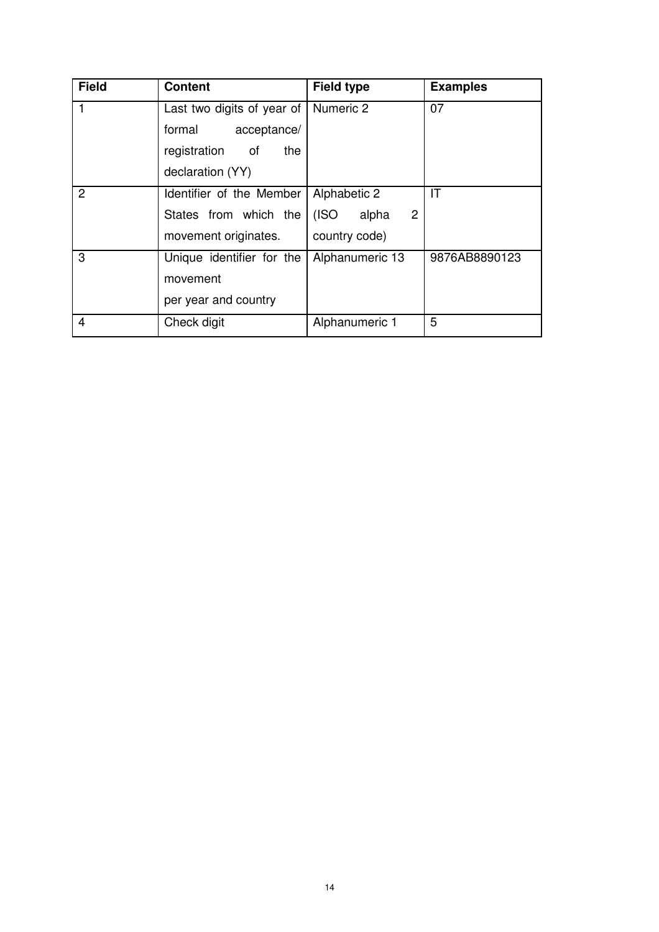| <b>Field</b>   | <b>Content</b>             | <b>Field type</b>   | <b>Examples</b> |
|----------------|----------------------------|---------------------|-----------------|
|                | Last two digits of year of | Numeric 2           | 07              |
|                | formal<br>acceptance/      |                     |                 |
|                | registration<br>the<br>of  |                     |                 |
|                | declaration (YY)           |                     |                 |
| 2              | Identifier of the Member   | Alphabetic 2        | IT              |
|                | States from which the      | (ISO)<br>2<br>alpha |                 |
|                | movement originates.       | country code)       |                 |
| 3              | Unique identifier for the  | Alphanumeric 13     | 9876AB8890123   |
|                | movement                   |                     |                 |
|                | per year and country       |                     |                 |
| $\overline{4}$ | Check digit                | Alphanumeric 1      | 5               |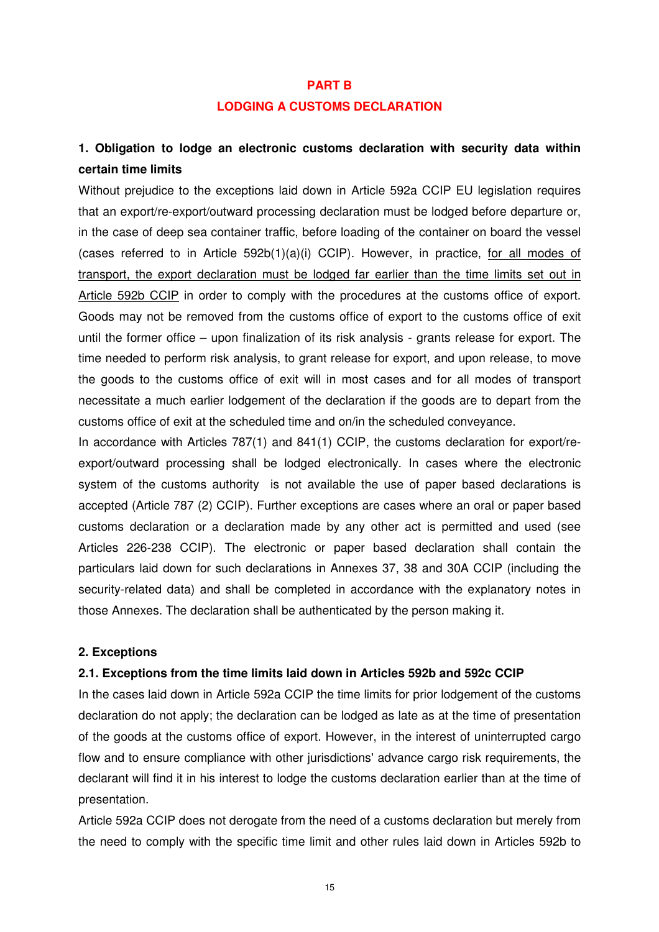#### **PART B**

#### **LODGING A CUSTOMS DECLARATION**

# **1. Obligation to lodge an electronic customs declaration with security data within certain time limits**

Without prejudice to the exceptions laid down in Article 592a CCIP EU legislation requires that an export/re-export/outward processing declaration must be lodged before departure or, in the case of deep sea container traffic, before loading of the container on board the vessel (cases referred to in Article 592b(1)(a)(i) CCIP). However, in practice, for all modes of transport, the export declaration must be lodged far earlier than the time limits set out in Article 592b CCIP in order to comply with the procedures at the customs office of export. Goods may not be removed from the customs office of export to the customs office of exit until the former office – upon finalization of its risk analysis - grants release for export. The time needed to perform risk analysis, to grant release for export, and upon release, to move the goods to the customs office of exit will in most cases and for all modes of transport necessitate a much earlier lodgement of the declaration if the goods are to depart from the customs office of exit at the scheduled time and on/in the scheduled conveyance.

In accordance with Articles 787(1) and 841(1) CCIP, the customs declaration for export/reexport/outward processing shall be lodged electronically. In cases where the electronic system of the customs authority is not available the use of paper based declarations is accepted (Article 787 (2) CCIP). Further exceptions are cases where an oral or paper based customs declaration or a declaration made by any other act is permitted and used (see Articles 226-238 CCIP). The electronic or paper based declaration shall contain the particulars laid down for such declarations in Annexes 37, 38 and 30A CCIP (including the security-related data) and shall be completed in accordance with the explanatory notes in those Annexes. The declaration shall be authenticated by the person making it.

#### **2. Exceptions**

#### **2.1. Exceptions from the time limits laid down in Articles 592b and 592c CCIP**

In the cases laid down in Article 592a CCIP the time limits for prior lodgement of the customs declaration do not apply; the declaration can be lodged as late as at the time of presentation of the goods at the customs office of export. However, in the interest of uninterrupted cargo flow and to ensure compliance with other jurisdictions' advance cargo risk requirements, the declarant will find it in his interest to lodge the customs declaration earlier than at the time of presentation.

Article 592a CCIP does not derogate from the need of a customs declaration but merely from the need to comply with the specific time limit and other rules laid down in Articles 592b to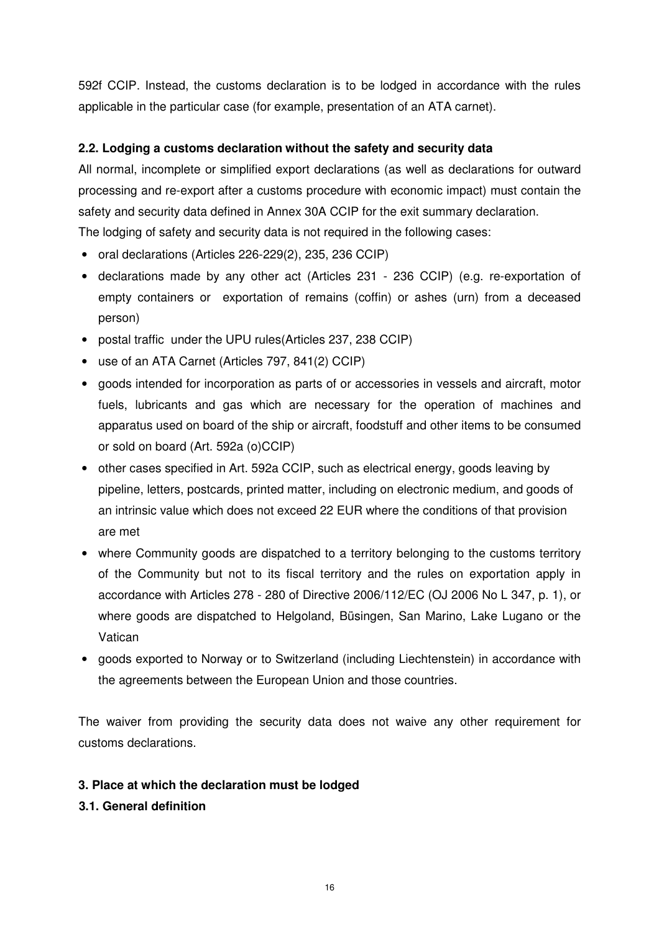592f CCIP. Instead, the customs declaration is to be lodged in accordance with the rules applicable in the particular case (for example, presentation of an ATA carnet).

# **2.2. Lodging a customs declaration without the safety and security data**

All normal, incomplete or simplified export declarations (as well as declarations for outward processing and re-export after a customs procedure with economic impact) must contain the safety and security data defined in Annex 30A CCIP for the exit summary declaration. The lodging of safety and security data is not required in the following cases:

- oral declarations (Articles 226-229(2), 235, 236 CCIP)
- declarations made by any other act (Articles 231 236 CCIP) (e.g. re-exportation of empty containers or exportation of remains (coffin) or ashes (urn) from a deceased person)
- postal traffic under the UPU rules(Articles 237, 238 CCIP)
- use of an ATA Carnet (Articles 797, 841(2) CCIP)
- goods intended for incorporation as parts of or accessories in vessels and aircraft, motor fuels, lubricants and gas which are necessary for the operation of machines and apparatus used on board of the ship or aircraft, foodstuff and other items to be consumed or sold on board (Art. 592a (o)CCIP)
- other cases specified in Art. 592a CCIP, such as electrical energy, goods leaving by pipeline, letters, postcards, printed matter, including on electronic medium, and goods of an intrinsic value which does not exceed 22 EUR where the conditions of that provision are met
- where Community goods are dispatched to a territory belonging to the customs territory of the Community but not to its fiscal territory and the rules on exportation apply in accordance with Articles 278 - 280 of Directive 2006/112/EC (OJ 2006 No L 347, p. 1), or where goods are dispatched to Helgoland, Büsingen, San Marino, Lake Lugano or the Vatican
- goods exported to Norway or to Switzerland (including Liechtenstein) in accordance with the agreements between the European Union and those countries.

The waiver from providing the security data does not waive any other requirement for customs declarations.

# **3. Place at which the declaration must be lodged**

# **3.1. General definition**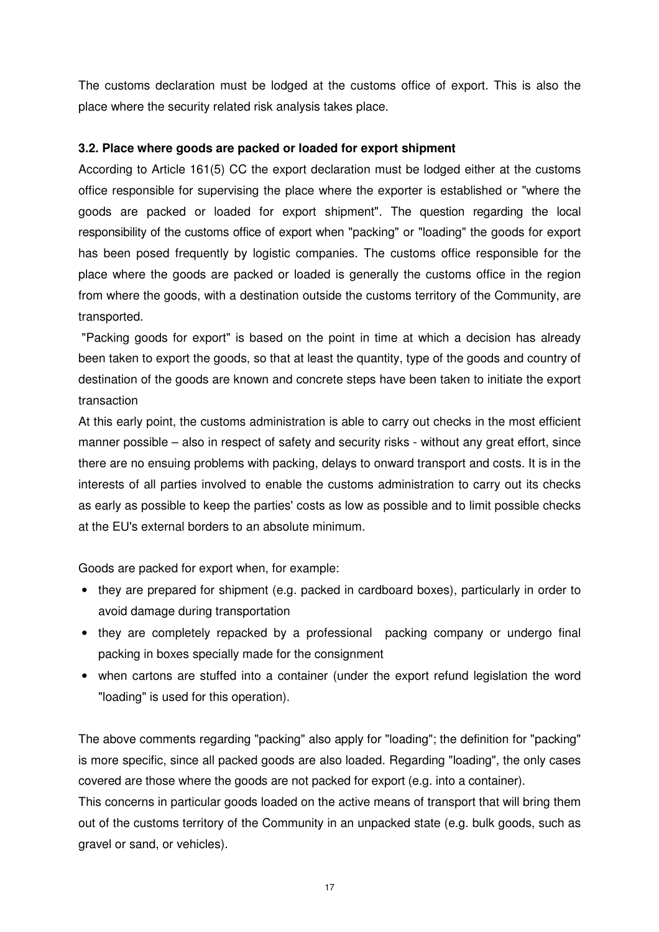The customs declaration must be lodged at the customs office of export. This is also the place where the security related risk analysis takes place.

# **3.2. Place where goods are packed or loaded for export shipment**

According to Article 161(5) CC the export declaration must be lodged either at the customs office responsible for supervising the place where the exporter is established or "where the goods are packed or loaded for export shipment". The question regarding the local responsibility of the customs office of export when "packing" or "loading" the goods for export has been posed frequently by logistic companies. The customs office responsible for the place where the goods are packed or loaded is generally the customs office in the region from where the goods, with a destination outside the customs territory of the Community, are transported.

 "Packing goods for export" is based on the point in time at which a decision has already been taken to export the goods, so that at least the quantity, type of the goods and country of destination of the goods are known and concrete steps have been taken to initiate the export transaction

At this early point, the customs administration is able to carry out checks in the most efficient manner possible – also in respect of safety and security risks - without any great effort, since there are no ensuing problems with packing, delays to onward transport and costs. It is in the interests of all parties involved to enable the customs administration to carry out its checks as early as possible to keep the parties' costs as low as possible and to limit possible checks at the EU's external borders to an absolute minimum.

Goods are packed for export when, for example:

- they are prepared for shipment (e.g. packed in cardboard boxes), particularly in order to avoid damage during transportation
- they are completely repacked by a professional packing company or undergo final packing in boxes specially made for the consignment
- when cartons are stuffed into a container (under the export refund legislation the word "loading" is used for this operation).

The above comments regarding "packing" also apply for "loading"; the definition for "packing" is more specific, since all packed goods are also loaded. Regarding "loading", the only cases covered are those where the goods are not packed for export (e.g. into a container).

This concerns in particular goods loaded on the active means of transport that will bring them out of the customs territory of the Community in an unpacked state (e.g. bulk goods, such as gravel or sand, or vehicles).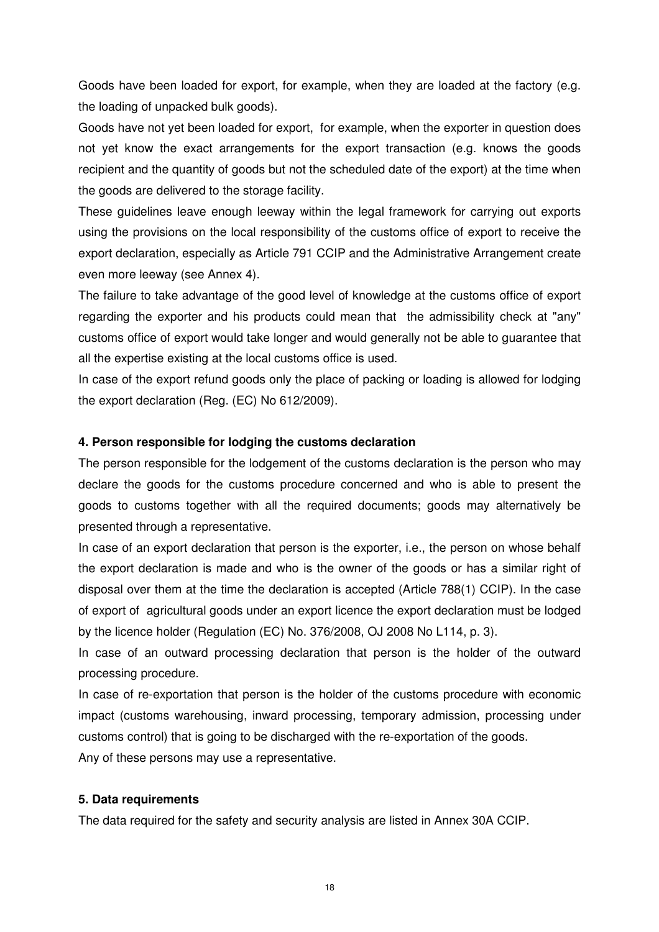Goods have been loaded for export, for example, when they are loaded at the factory (e.g. the loading of unpacked bulk goods).

Goods have not yet been loaded for export, for example, when the exporter in question does not yet know the exact arrangements for the export transaction (e.g. knows the goods recipient and the quantity of goods but not the scheduled date of the export) at the time when the goods are delivered to the storage facility.

These guidelines leave enough leeway within the legal framework for carrying out exports using the provisions on the local responsibility of the customs office of export to receive the export declaration, especially as Article 791 CCIP and the Administrative Arrangement create even more leeway (see Annex 4).

The failure to take advantage of the good level of knowledge at the customs office of export regarding the exporter and his products could mean that the admissibility check at "any" customs office of export would take longer and would generally not be able to guarantee that all the expertise existing at the local customs office is used.

In case of the export refund goods only the place of packing or loading is allowed for lodging the export declaration (Reg. (EC) No 612/2009).

### **4. Person responsible for lodging the customs declaration**

The person responsible for the lodgement of the customs declaration is the person who may declare the goods for the customs procedure concerned and who is able to present the goods to customs together with all the required documents; goods may alternatively be presented through a representative.

In case of an export declaration that person is the exporter, i.e., the person on whose behalf the export declaration is made and who is the owner of the goods or has a similar right of disposal over them at the time the declaration is accepted (Article 788(1) CCIP). In the case of export of agricultural goods under an export licence the export declaration must be lodged by the licence holder (Regulation (EC) No. 376/2008, OJ 2008 No L114, p. 3).

In case of an outward processing declaration that person is the holder of the outward processing procedure.

In case of re-exportation that person is the holder of the customs procedure with economic impact (customs warehousing, inward processing, temporary admission, processing under customs control) that is going to be discharged with the re-exportation of the goods. Any of these persons may use a representative.

### **5. Data requirements**

The data required for the safety and security analysis are listed in Annex 30A CCIP.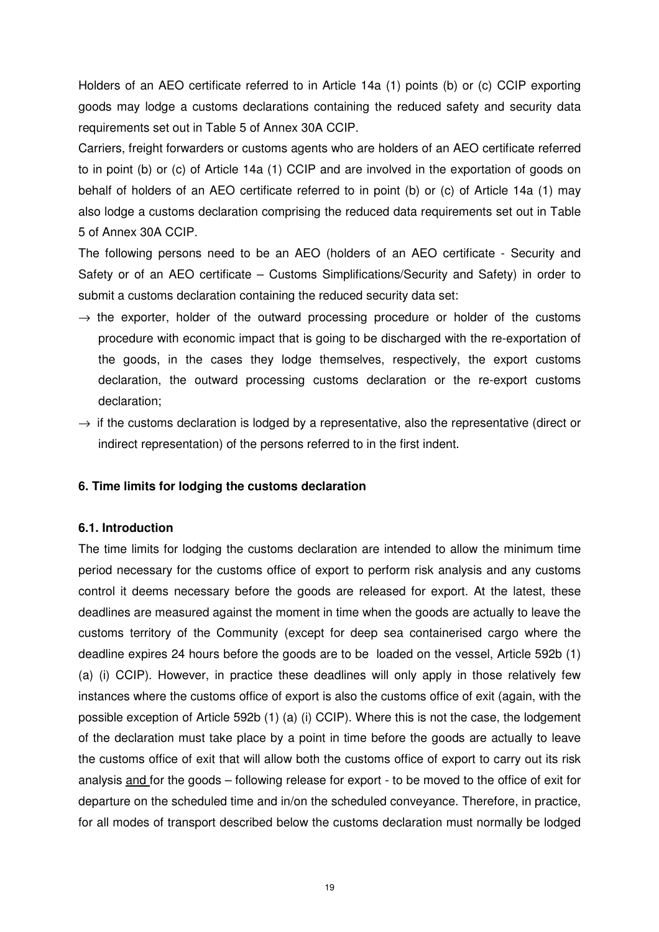Holders of an AEO certificate referred to in Article 14a (1) points (b) or (c) CCIP exporting goods may lodge a customs declarations containing the reduced safety and security data requirements set out in Table 5 of Annex 30A CCIP.

Carriers, freight forwarders or customs agents who are holders of an AEO certificate referred to in point (b) or (c) of Article 14a (1) CCIP and are involved in the exportation of goods on behalf of holders of an AEO certificate referred to in point (b) or (c) of Article 14a (1) may also lodge a customs declaration comprising the reduced data requirements set out in Table 5 of Annex 30A CCIP.

The following persons need to be an AEO (holders of an AEO certificate - Security and Safety or of an AEO certificate – Customs Simplifications/Security and Safety) in order to submit a customs declaration containing the reduced security data set:

- $\rightarrow$  the exporter, holder of the outward processing procedure or holder of the customs procedure with economic impact that is going to be discharged with the re-exportation of the goods, in the cases they lodge themselves, respectively, the export customs declaration, the outward processing customs declaration or the re-export customs declaration;
- $\rightarrow$  if the customs declaration is lodged by a representative, also the representative (direct or indirect representation) of the persons referred to in the first indent.

### **6. Time limits for lodging the customs declaration**

### **6.1. Introduction**

The time limits for lodging the customs declaration are intended to allow the minimum time period necessary for the customs office of export to perform risk analysis and any customs control it deems necessary before the goods are released for export. At the latest, these deadlines are measured against the moment in time when the goods are actually to leave the customs territory of the Community (except for deep sea containerised cargo where the deadline expires 24 hours before the goods are to be loaded on the vessel, Article 592b (1) (a) (i) CCIP). However, in practice these deadlines will only apply in those relatively few instances where the customs office of export is also the customs office of exit (again, with the possible exception of Article 592b (1) (a) (i) CCIP). Where this is not the case, the lodgement of the declaration must take place by a point in time before the goods are actually to leave the customs office of exit that will allow both the customs office of export to carry out its risk analysis and for the goods – following release for export - to be moved to the office of exit for departure on the scheduled time and in/on the scheduled conveyance. Therefore, in practice, for all modes of transport described below the customs declaration must normally be lodged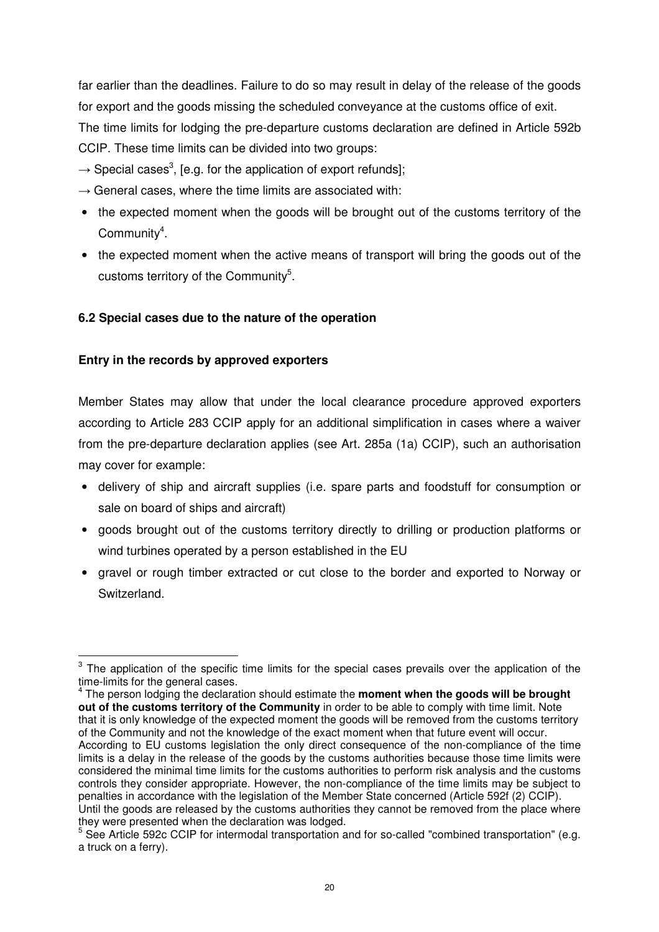far earlier than the deadlines. Failure to do so may result in delay of the release of the goods for export and the goods missing the scheduled conveyance at the customs office of exit. The time limits for lodging the pre-departure customs declaration are defined in Article 592b CCIP. These time limits can be divided into two groups:

- $\rightarrow$  Special cases<sup>3</sup>, [e.g. for the application of export refunds];
- $\rightarrow$  General cases, where the time limits are associated with:
- the expected moment when the goods will be brought out of the customs territory of the Community<sup>4</sup>.
- the expected moment when the active means of transport will bring the goods out of the customs territory of the Community<sup>5</sup>.

# **6.2 Special cases due to the nature of the operation**

# **Entry in the records by approved exporters**

 $\overline{a}$ 

Member States may allow that under the local clearance procedure approved exporters according to Article 283 CCIP apply for an additional simplification in cases where a waiver from the pre-departure declaration applies (see Art. 285a (1a) CCIP), such an authorisation may cover for example:

- delivery of ship and aircraft supplies (i.e. spare parts and foodstuff for consumption or sale on board of ships and aircraft)
- goods brought out of the customs territory directly to drilling or production platforms or wind turbines operated by a person established in the EU
- gravel or rough timber extracted or cut close to the border and exported to Norway or Switzerland.

 $3$  The application of the specific time limits for the special cases prevails over the application of the time-limits for the general cases.

<sup>4</sup> The person lodging the declaration should estimate the **moment when the goods will be brought out of the customs territory of the Community** in order to be able to comply with time limit. Note that it is only knowledge of the expected moment the goods will be removed from the customs territory of the Community and not the knowledge of the exact moment when that future event will occur. According to EU customs legislation the only direct consequence of the non-compliance of the time limits is a delay in the release of the goods by the customs authorities because those time limits were considered the minimal time limits for the customs authorities to perform risk analysis and the customs controls they consider appropriate. However, the non-compliance of the time limits may be subject to penalties in accordance with the legislation of the Member State concerned (Article 592f (2) CCIP). Until the goods are released by the customs authorities they cannot be removed from the place where they were presented when the declaration was lodged.

<sup>&</sup>lt;sup>5</sup> See Article 592c CCIP for intermodal transportation and for so-called "combined transportation" (e.g. a truck on a ferry).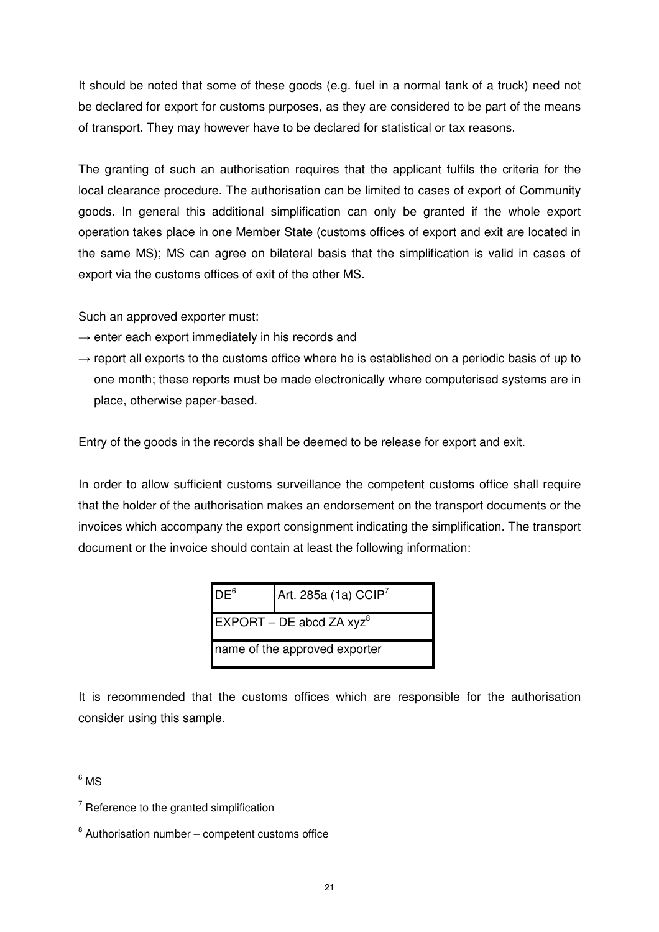It should be noted that some of these goods (e.g. fuel in a normal tank of a truck) need not be declared for export for customs purposes, as they are considered to be part of the means of transport. They may however have to be declared for statistical or tax reasons.

The granting of such an authorisation requires that the applicant fulfils the criteria for the local clearance procedure. The authorisation can be limited to cases of export of Community goods. In general this additional simplification can only be granted if the whole export operation takes place in one Member State (customs offices of export and exit are located in the same MS); MS can agree on bilateral basis that the simplification is valid in cases of export via the customs offices of exit of the other MS.

Such an approved exporter must:

- $\rightarrow$  enter each export immediately in his records and
- $\rightarrow$  report all exports to the customs office where he is established on a periodic basis of up to one month; these reports must be made electronically where computerised systems are in place, otherwise paper-based.

Entry of the goods in the records shall be deemed to be release for export and exit.

In order to allow sufficient customs surveillance the competent customs office shall require that the holder of the authorisation makes an endorsement on the transport documents or the invoices which accompany the export consignment indicating the simplification. The transport document or the invoice should contain at least the following information:

| DE <sup>6</sup>               | Art. 285a (1a) CCIP <sup>7</sup> |
|-------------------------------|----------------------------------|
|                               | EXPORT – DE abcd ZA $xyz^8$      |
| name of the approved exporter |                                  |

It is recommended that the customs offices which are responsible for the authorisation consider using this sample.

 $^6$  MS

 $\overline{a}$ 

 $7$  Reference to the granted simplification

 $8$  Authorisation number – competent customs office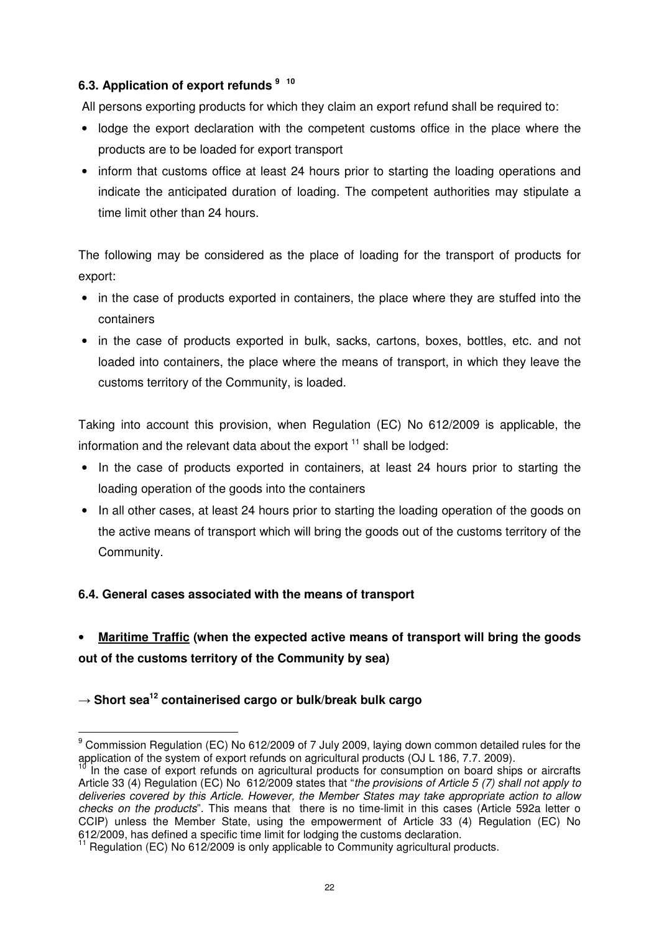# **6.3. Application of export refunds <sup>9</sup> 10**

All persons exporting products for which they claim an export refund shall be required to:

- lodge the export declaration with the competent customs office in the place where the products are to be loaded for export transport
- inform that customs office at least 24 hours prior to starting the loading operations and indicate the anticipated duration of loading. The competent authorities may stipulate a time limit other than 24 hours.

The following may be considered as the place of loading for the transport of products for export:

- in the case of products exported in containers, the place where they are stuffed into the containers
- in the case of products exported in bulk, sacks, cartons, boxes, bottles, etc. and not loaded into containers, the place where the means of transport, in which they leave the customs territory of the Community, is loaded.

Taking into account this provision, when Regulation (EC) No 612/2009 is applicable, the information and the relevant data about the export  $11$  shall be lodged:

- In the case of products exported in containers, at least 24 hours prior to starting the loading operation of the goods into the containers
- In all other cases, at least 24 hours prior to starting the loading operation of the goods on the active means of transport which will bring the goods out of the customs territory of the Community.

# **6.4. General cases associated with the means of transport**

# • **Maritime Traffic (when the expected active means of transport will bring the goods out of the customs territory of the Community by sea)**

# → **Short sea<sup>12</sup> containerised cargo or bulk/break bulk cargo**

 $\overline{a}$ 

<sup>&</sup>lt;sup>9</sup> Commission Regulation (EC) No 612/2009 of 7 July 2009, laying down common detailed rules for the application of the system of export refunds on agricultural products (OJ L 186, 7.7. 2009).

<sup>10</sup> In the case of export refunds on agricultural products for consumption on board ships or aircrafts Article 33 (4) Regulation (EC) No 612/2009 states that "the provisions of Article 5 (7) shall not apply to deliveries covered by this Article. However, the Member States may take appropriate action to allow checks on the products". This means that there is no time-limit in this cases (Article 592a letter o CCIP) unless the Member State, using the empowerment of Article 33 (4) Regulation (EC) No 612/2009, has defined a specific time limit for lodging the customs declaration.

 $11$  Regulation (EC) No 612/2009 is only applicable to Community agricultural products.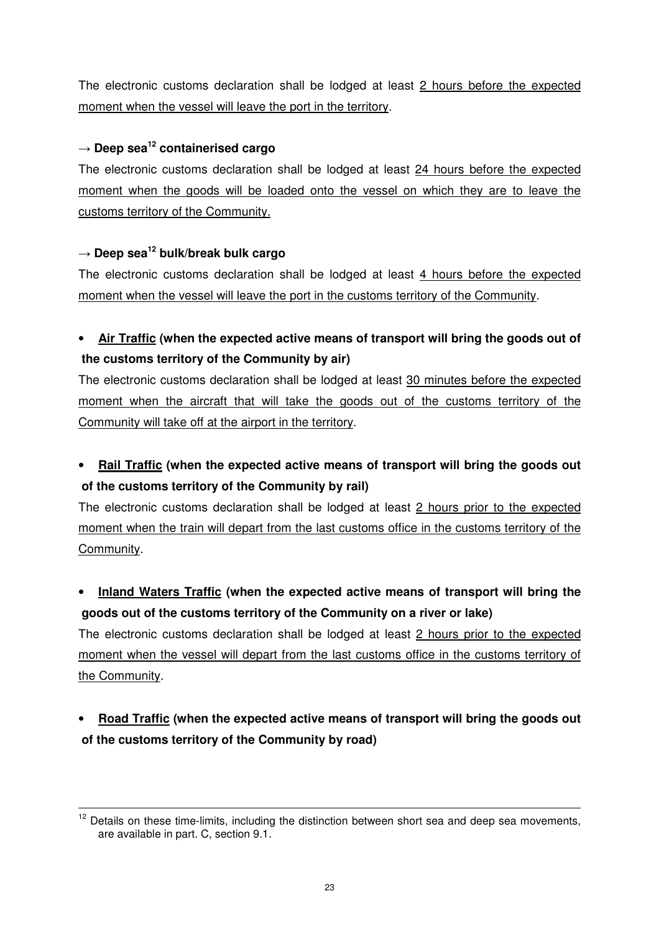The electronic customs declaration shall be lodged at least 2 hours before the expected moment when the vessel will leave the port in the territory.

# → **Deep sea<sup>12</sup> containerised cargo**

The electronic customs declaration shall be lodged at least 24 hours before the expected moment when the goods will be loaded onto the vessel on which they are to leave the customs territory of the Community.

# → **Deep sea<sup>12</sup> bulk/break bulk cargo**

 $\overline{a}$ 

The electronic customs declaration shall be lodged at least 4 hours before the expected moment when the vessel will leave the port in the customs territory of the Community.

# • **Air Traffic (when the expected active means of transport will bring the goods out of the customs territory of the Community by air)**

The electronic customs declaration shall be lodged at least 30 minutes before the expected moment when the aircraft that will take the goods out of the customs territory of the Community will take off at the airport in the territory.

• **Rail Traffic (when the expected active means of transport will bring the goods out of the customs territory of the Community by rail)**

The electronic customs declaration shall be lodged at least 2 hours prior to the expected moment when the train will depart from the last customs office in the customs territory of the Community.

• **Inland Waters Traffic (when the expected active means of transport will bring the goods out of the customs territory of the Community on a river or lake)**

The electronic customs declaration shall be lodged at least 2 hours prior to the expected moment when the vessel will depart from the last customs office in the customs territory of the Community.

# • **Road Traffic (when the expected active means of transport will bring the goods out of the customs territory of the Community by road)**

<sup>&</sup>lt;sup>12</sup> Details on these time-limits, including the distinction between short sea and deep sea movements, are available in part. C, section 9.1.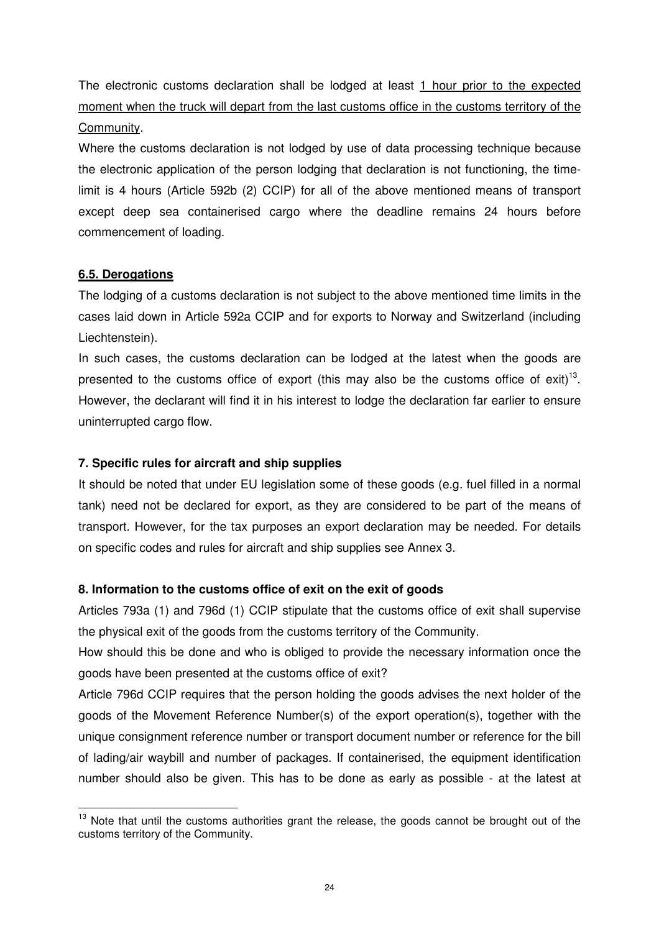The electronic customs declaration shall be lodged at least 1 hour prior to the expected moment when the truck will depart from the last customs office in the customs territory of the Community.

Where the customs declaration is not lodged by use of data processing technique because the electronic application of the person lodging that declaration is not functioning, the timelimit is 4 hours (Article 592b (2) CCIP) for all of the above mentioned means of transport except deep sea containerised cargo where the deadline remains 24 hours before commencement of loading.

# **6.5. Derogations**

 $\overline{a}$ 

The lodging of a customs declaration is not subject to the above mentioned time limits in the cases laid down in Article 592a CCIP and for exports to Norway and Switzerland (including Liechtenstein).

In such cases, the customs declaration can be lodged at the latest when the goods are presented to the customs office of export (this may also be the customs office of exit)<sup>13</sup>. However, the declarant will find it in his interest to lodge the declaration far earlier to ensure uninterrupted cargo flow.

# **7. Specific rules for aircraft and ship supplies**

It should be noted that under EU legislation some of these goods (e.g. fuel filled in a normal tank) need not be declared for export, as they are considered to be part of the means of transport. However, for the tax purposes an export declaration may be needed. For details on specific codes and rules for aircraft and ship supplies see Annex 3.

# **8. Information to the customs office of exit on the exit of goods**

Articles 793a (1) and 796d (1) CCIP stipulate that the customs office of exit shall supervise the physical exit of the goods from the customs territory of the Community.

How should this be done and who is obliged to provide the necessary information once the goods have been presented at the customs office of exit?

Article 796d CCIP requires that the person holding the goods advises the next holder of the goods of the Movement Reference Number(s) of the export operation(s), together with the unique consignment reference number or transport document number or reference for the bill of lading/air waybill and number of packages. If containerised, the equipment identification number should also be given. This has to be done as early as possible - at the latest at

<sup>&</sup>lt;sup>13</sup> Note that until the customs authorities grant the release, the goods cannot be brought out of the customs territory of the Community.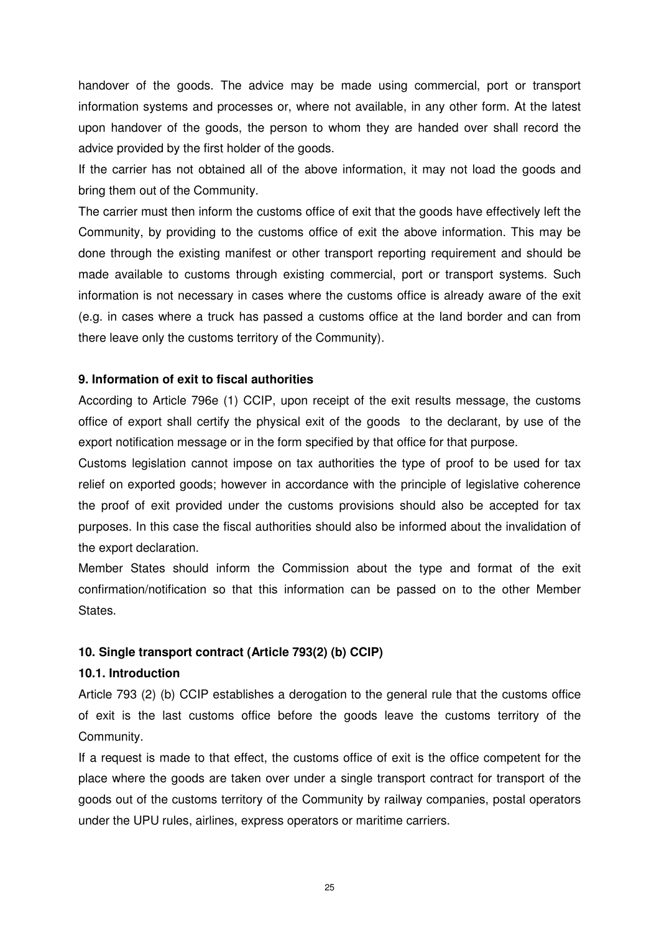handover of the goods. The advice may be made using commercial, port or transport information systems and processes or, where not available, in any other form. At the latest upon handover of the goods, the person to whom they are handed over shall record the advice provided by the first holder of the goods.

If the carrier has not obtained all of the above information, it may not load the goods and bring them out of the Community.

The carrier must then inform the customs office of exit that the goods have effectively left the Community, by providing to the customs office of exit the above information. This may be done through the existing manifest or other transport reporting requirement and should be made available to customs through existing commercial, port or transport systems. Such information is not necessary in cases where the customs office is already aware of the exit (e.g. in cases where a truck has passed a customs office at the land border and can from there leave only the customs territory of the Community).

### **9. Information of exit to fiscal authorities**

According to Article 796e (1) CCIP, upon receipt of the exit results message, the customs office of export shall certify the physical exit of the goods to the declarant, by use of the export notification message or in the form specified by that office for that purpose.

Customs legislation cannot impose on tax authorities the type of proof to be used for tax relief on exported goods; however in accordance with the principle of legislative coherence the proof of exit provided under the customs provisions should also be accepted for tax purposes. In this case the fiscal authorities should also be informed about the invalidation of the export declaration.

Member States should inform the Commission about the type and format of the exit confirmation/notification so that this information can be passed on to the other Member States.

# **10. Single transport contract (Article 793(2) (b) CCIP)**

### **10.1. Introduction**

Article 793 (2) (b) CCIP establishes a derogation to the general rule that the customs office of exit is the last customs office before the goods leave the customs territory of the Community.

If a request is made to that effect, the customs office of exit is the office competent for the place where the goods are taken over under a single transport contract for transport of the goods out of the customs territory of the Community by railway companies, postal operators under the UPU rules, airlines, express operators or maritime carriers.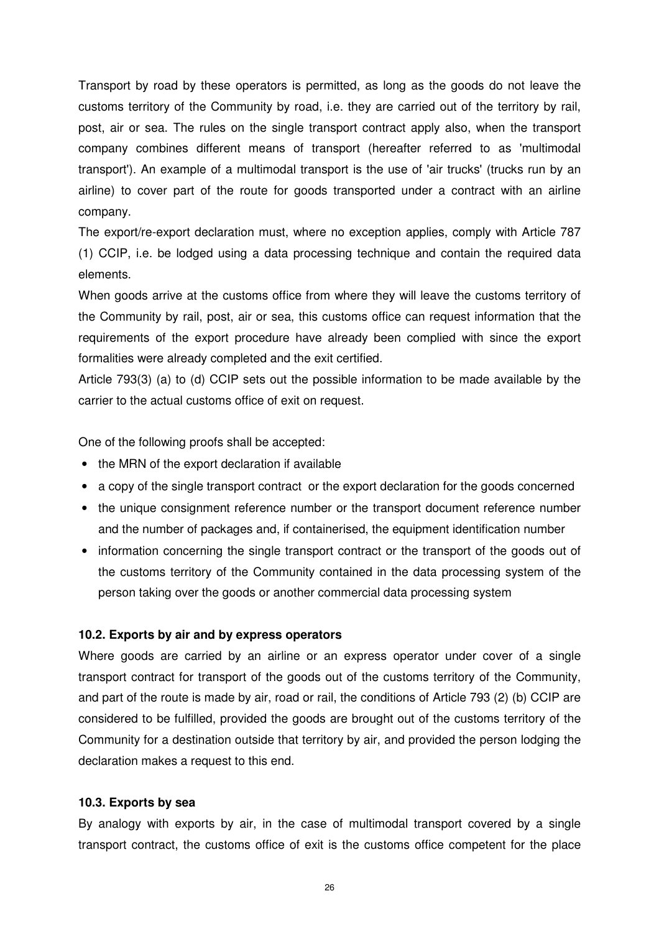Transport by road by these operators is permitted, as long as the goods do not leave the customs territory of the Community by road, i.e. they are carried out of the territory by rail, post, air or sea. The rules on the single transport contract apply also, when the transport company combines different means of transport (hereafter referred to as 'multimodal transport'). An example of a multimodal transport is the use of 'air trucks' (trucks run by an airline) to cover part of the route for goods transported under a contract with an airline company.

The export/re-export declaration must, where no exception applies, comply with Article 787 (1) CCIP, i.e. be lodged using a data processing technique and contain the required data elements.

When goods arrive at the customs office from where they will leave the customs territory of the Community by rail, post, air or sea, this customs office can request information that the requirements of the export procedure have already been complied with since the export formalities were already completed and the exit certified.

Article 793(3) (a) to (d) CCIP sets out the possible information to be made available by the carrier to the actual customs office of exit on request.

One of the following proofs shall be accepted:

- the MRN of the export declaration if available
- a copy of the single transport contract or the export declaration for the goods concerned
- the unique consignment reference number or the transport document reference number and the number of packages and, if containerised, the equipment identification number
- information concerning the single transport contract or the transport of the goods out of the customs territory of the Community contained in the data processing system of the person taking over the goods or another commercial data processing system

### **10.2. Exports by air and by express operators**

Where goods are carried by an airline or an express operator under cover of a single transport contract for transport of the goods out of the customs territory of the Community, and part of the route is made by air, road or rail, the conditions of Article 793 (2) (b) CCIP are considered to be fulfilled, provided the goods are brought out of the customs territory of the Community for a destination outside that territory by air, and provided the person lodging the declaration makes a request to this end.

### **10.3. Exports by sea**

By analogy with exports by air, in the case of multimodal transport covered by a single transport contract, the customs office of exit is the customs office competent for the place

26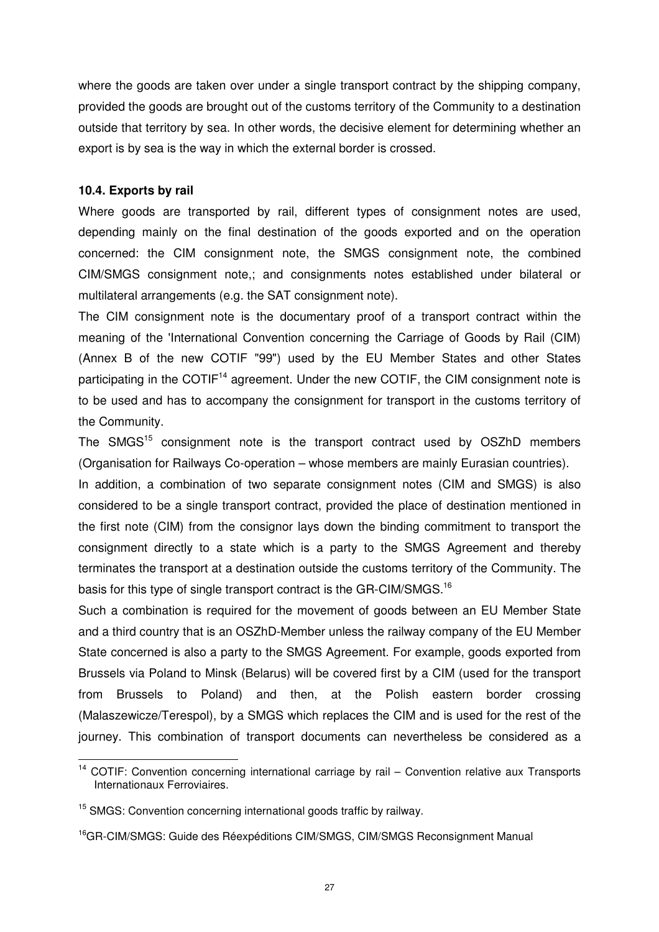where the goods are taken over under a single transport contract by the shipping company, provided the goods are brought out of the customs territory of the Community to a destination outside that territory by sea. In other words, the decisive element for determining whether an export is by sea is the way in which the external border is crossed.

#### **10.4. Exports by rail**

 $\overline{a}$ 

Where goods are transported by rail, different types of consignment notes are used, depending mainly on the final destination of the goods exported and on the operation concerned: the CIM consignment note, the SMGS consignment note, the combined CIM/SMGS consignment note,; and consignments notes established under bilateral or multilateral arrangements (e.g. the SAT consignment note).

The CIM consignment note is the documentary proof of a transport contract within the meaning of the 'International Convention concerning the Carriage of Goods by Rail (CIM) (Annex B of the new COTIF "99") used by the EU Member States and other States participating in the COTIF<sup>14</sup> agreement. Under the new COTIF, the CIM consignment note is to be used and has to accompany the consignment for transport in the customs territory of the Community.

The SMGS<sup>15</sup> consignment note is the transport contract used by OSZhD members (Organisation for Railways Co-operation – whose members are mainly Eurasian countries).

In addition, a combination of two separate consignment notes (CIM and SMGS) is also considered to be a single transport contract, provided the place of destination mentioned in the first note (CIM) from the consignor lays down the binding commitment to transport the consignment directly to a state which is a party to the SMGS Agreement and thereby terminates the transport at a destination outside the customs territory of the Community. The basis for this type of single transport contract is the GR-CIM/SMGS.<sup>16</sup>

Such a combination is required for the movement of goods between an EU Member State and a third country that is an OSZhD-Member unless the railway company of the EU Member State concerned is also a party to the SMGS Agreement. For example, goods exported from Brussels via Poland to Minsk (Belarus) will be covered first by a CIM (used for the transport from Brussels to Poland) and then, at the Polish eastern border crossing (Malaszewicze/Terespol), by a SMGS which replaces the CIM and is used for the rest of the journey. This combination of transport documents can nevertheless be considered as a

<sup>&</sup>lt;sup>14</sup> COTIF: Convention concerning international carriage by rail - Convention relative aux Transports Internationaux Ferroviaires.

<sup>&</sup>lt;sup>15</sup> SMGS: Convention concerning international goods traffic by railway.

<sup>&</sup>lt;sup>16</sup>GR-CIM/SMGS: Guide des Réexpéditions CIM/SMGS, CIM/SMGS Reconsignment Manual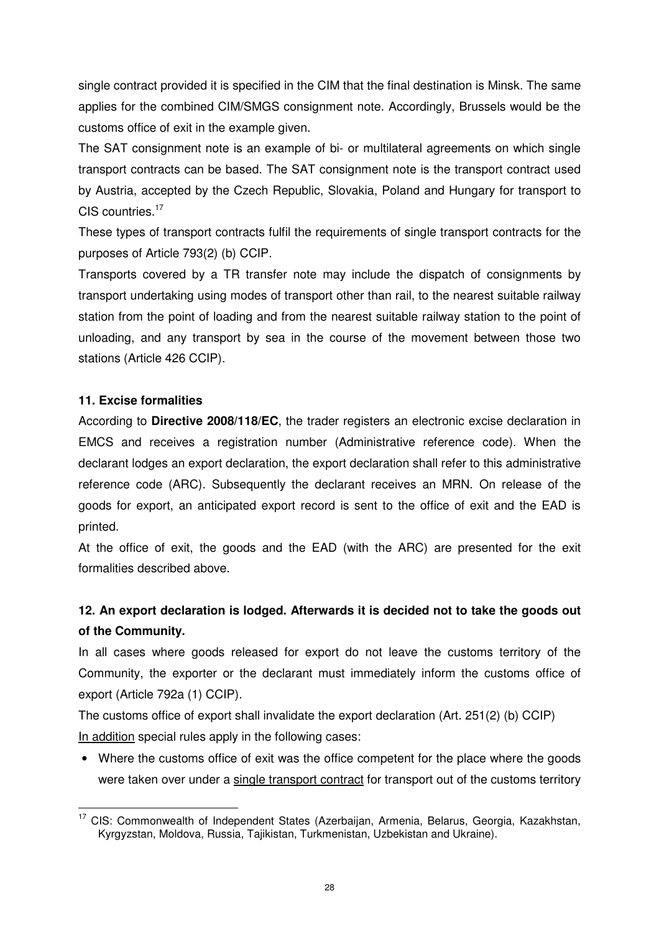single contract provided it is specified in the CIM that the final destination is Minsk. The same applies for the combined CIM/SMGS consignment note. Accordingly, Brussels would be the customs office of exit in the example given.

The SAT consignment note is an example of bi- or multilateral agreements on which single transport contracts can be based. The SAT consignment note is the transport contract used by Austria, accepted by the Czech Republic, Slovakia, Poland and Hungary for transport to CIS countries.<sup>17</sup>

These types of transport contracts fulfil the requirements of single transport contracts for the purposes of Article 793(2) (b) CCIP.

Transports covered by a TR transfer note may include the dispatch of consignments by transport undertaking using modes of transport other than rail, to the nearest suitable railway station from the point of loading and from the nearest suitable railway station to the point of unloading, and any transport by sea in the course of the movement between those two stations (Article 426 CCIP).

# **11. Excise formalities**

 $\overline{a}$ 

According to **Directive 2008/118/EC**, the trader registers an electronic excise declaration in EMCS and receives a registration number (Administrative reference code). When the declarant lodges an export declaration, the export declaration shall refer to this administrative reference code (ARC). Subsequently the declarant receives an MRN. On release of the goods for export, an anticipated export record is sent to the office of exit and the EAD is printed.

At the office of exit, the goods and the EAD (with the ARC) are presented for the exit formalities described above.

# **12. An export declaration is lodged. Afterwards it is decided not to take the goods out of the Community.**

In all cases where goods released for export do not leave the customs territory of the Community, the exporter or the declarant must immediately inform the customs office of export (Article 792a (1) CCIP).

The customs office of export shall invalidate the export declaration (Art. 251(2) (b) CCIP) In addition special rules apply in the following cases:

• Where the customs office of exit was the office competent for the place where the goods were taken over under a single transport contract for transport out of the customs territory

<sup>&</sup>lt;sup>17</sup> CIS: Commonwealth of Independent States (Azerbaijan, Armenia, Belarus, Georgia, Kazakhstan, Kyrgyzstan, Moldova, Russia, Tajikistan, Turkmenistan, Uzbekistan and Ukraine).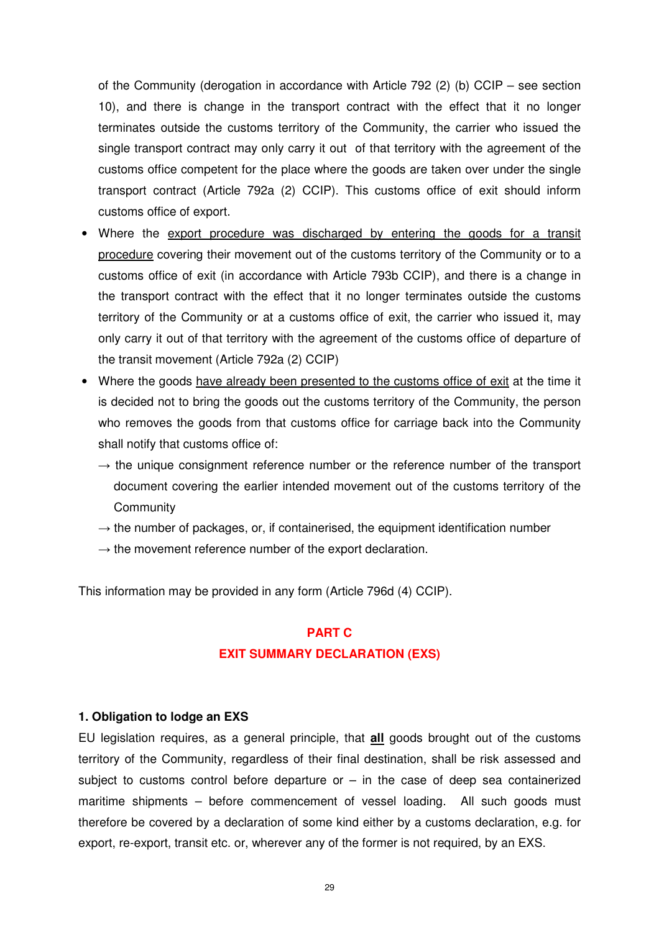of the Community (derogation in accordance with Article 792 (2) (b) CCIP – see section 10), and there is change in the transport contract with the effect that it no longer terminates outside the customs territory of the Community, the carrier who issued the single transport contract may only carry it out of that territory with the agreement of the customs office competent for the place where the goods are taken over under the single transport contract (Article 792a (2) CCIP). This customs office of exit should inform customs office of export.

- Where the export procedure was discharged by entering the goods for a transit procedure covering their movement out of the customs territory of the Community or to a customs office of exit (in accordance with Article 793b CCIP), and there is a change in the transport contract with the effect that it no longer terminates outside the customs territory of the Community or at a customs office of exit, the carrier who issued it, may only carry it out of that territory with the agreement of the customs office of departure of the transit movement (Article 792a (2) CCIP)
- Where the goods have already been presented to the customs office of exit at the time it is decided not to bring the goods out the customs territory of the Community, the person who removes the goods from that customs office for carriage back into the Community shall notify that customs office of:
	- $\rightarrow$  the unique consignment reference number or the reference number of the transport document covering the earlier intended movement out of the customs territory of the **Community**
	- $\rightarrow$  the number of packages, or, if containerised, the equipment identification number
	- $\rightarrow$  the movement reference number of the export declaration.

This information may be provided in any form (Article 796d (4) CCIP).

#### **PART C**

#### **EXIT SUMMARY DECLARATION (EXS)**

#### **1. Obligation to lodge an EXS**

EU legislation requires, as a general principle, that **all** goods brought out of the customs territory of the Community, regardless of their final destination, shall be risk assessed and subject to customs control before departure or  $-$  in the case of deep sea containerized maritime shipments – before commencement of vessel loading. All such goods must therefore be covered by a declaration of some kind either by a customs declaration, e.g. for export, re-export, transit etc. or, wherever any of the former is not required, by an EXS.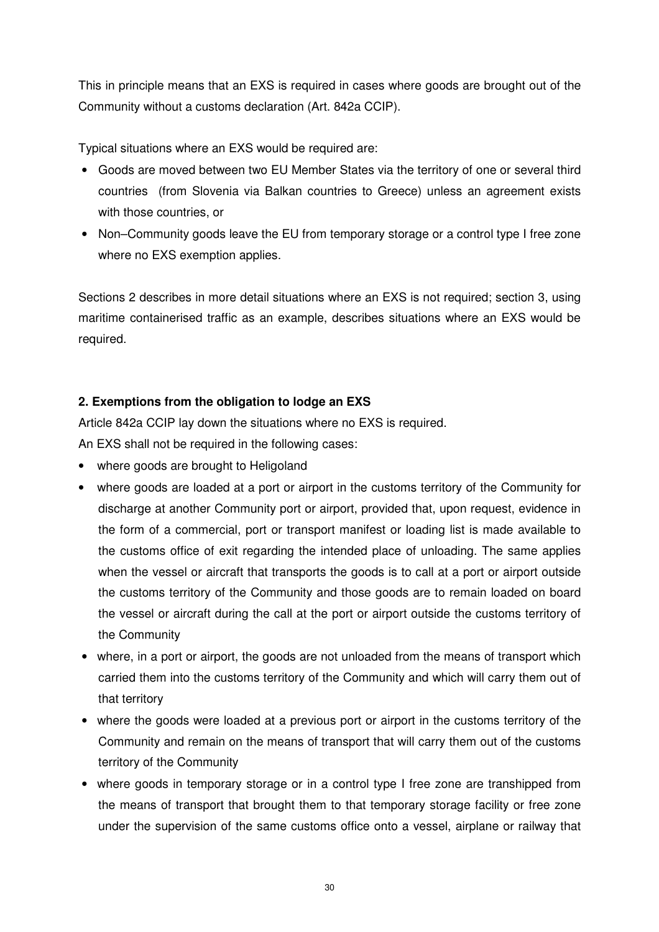This in principle means that an EXS is required in cases where goods are brought out of the Community without a customs declaration (Art. 842a CCIP).

Typical situations where an EXS would be required are:

- Goods are moved between two EU Member States via the territory of one or several third countries (from Slovenia via Balkan countries to Greece) unless an agreement exists with those countries, or
- Non–Community goods leave the EU from temporary storage or a control type I free zone where no EXS exemption applies.

Sections 2 describes in more detail situations where an EXS is not required; section 3, using maritime containerised traffic as an example, describes situations where an EXS would be required.

# **2. Exemptions from the obligation to lodge an EXS**

Article 842a CCIP lay down the situations where no EXS is required.

An EXS shall not be required in the following cases:

- where goods are brought to Heligoland
- where goods are loaded at a port or airport in the customs territory of the Community for discharge at another Community port or airport, provided that, upon request, evidence in the form of a commercial, port or transport manifest or loading list is made available to the customs office of exit regarding the intended place of unloading. The same applies when the vessel or aircraft that transports the goods is to call at a port or airport outside the customs territory of the Community and those goods are to remain loaded on board the vessel or aircraft during the call at the port or airport outside the customs territory of the Community
- where, in a port or airport, the goods are not unloaded from the means of transport which carried them into the customs territory of the Community and which will carry them out of that territory
- where the goods were loaded at a previous port or airport in the customs territory of the Community and remain on the means of transport that will carry them out of the customs territory of the Community
- where goods in temporary storage or in a control type I free zone are transhipped from the means of transport that brought them to that temporary storage facility or free zone under the supervision of the same customs office onto a vessel, airplane or railway that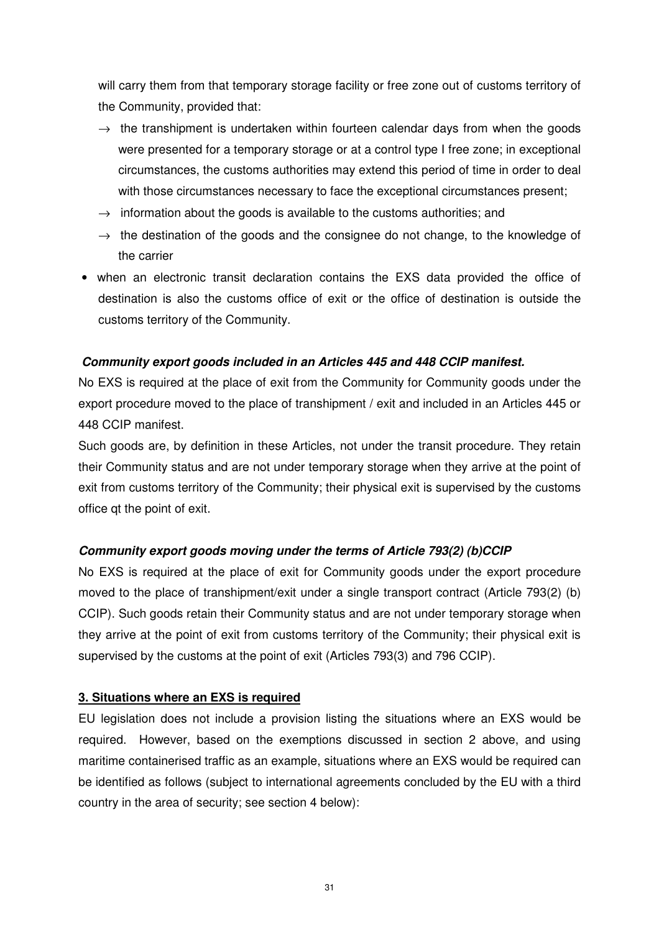will carry them from that temporary storage facility or free zone out of customs territory of the Community, provided that:

- $\rightarrow$  the transhipment is undertaken within fourteen calendar days from when the goods were presented for a temporary storage or at a control type I free zone; in exceptional circumstances, the customs authorities may extend this period of time in order to deal with those circumstances necessary to face the exceptional circumstances present;
- $\rightarrow$  information about the goods is available to the customs authorities; and
- $\rightarrow$  the destination of the goods and the consignee do not change, to the knowledge of the carrier
- when an electronic transit declaration contains the EXS data provided the office of destination is also the customs office of exit or the office of destination is outside the customs territory of the Community.

# **Community export goods included in an Articles 445 and 448 CCIP manifest.**

No EXS is required at the place of exit from the Community for Community goods under the export procedure moved to the place of transhipment / exit and included in an Articles 445 or 448 CCIP manifest.

Such goods are, by definition in these Articles, not under the transit procedure. They retain their Community status and are not under temporary storage when they arrive at the point of exit from customs territory of the Community; their physical exit is supervised by the customs office qt the point of exit.

# **Community export goods moving under the terms of Article 793(2) (b)CCIP**

No EXS is required at the place of exit for Community goods under the export procedure moved to the place of transhipment/exit under a single transport contract (Article 793(2) (b) CCIP). Such goods retain their Community status and are not under temporary storage when they arrive at the point of exit from customs territory of the Community; their physical exit is supervised by the customs at the point of exit (Articles 793(3) and 796 CCIP).

# **3. Situations where an EXS is required**

EU legislation does not include a provision listing the situations where an EXS would be required. However, based on the exemptions discussed in section 2 above, and using maritime containerised traffic as an example, situations where an EXS would be required can be identified as follows (subject to international agreements concluded by the EU with a third country in the area of security; see section 4 below):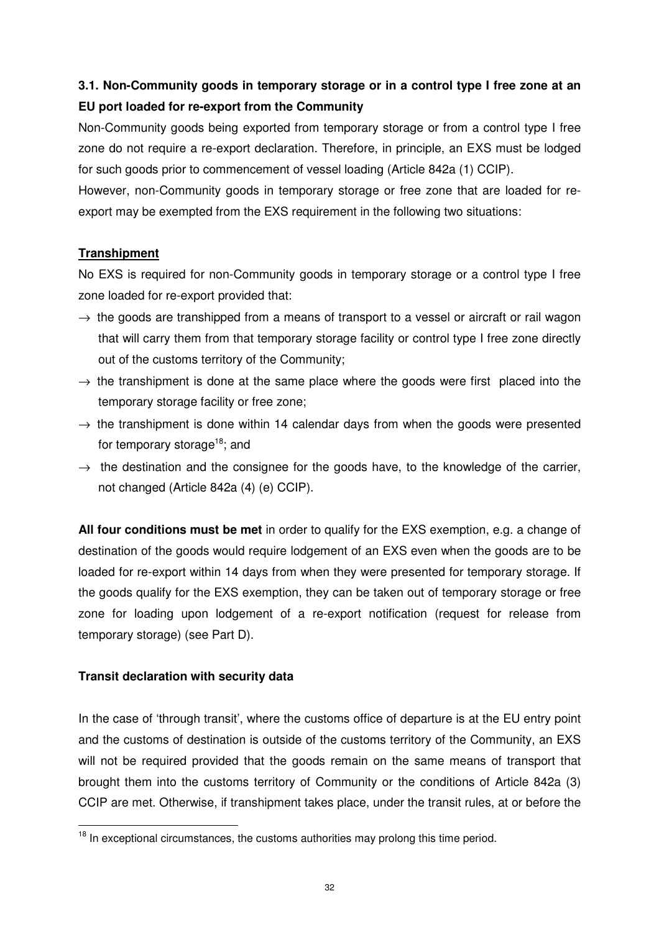# **3.1. Non-Community goods in temporary storage or in a control type I free zone at an EU port loaded for re-export from the Community**

Non-Community goods being exported from temporary storage or from a control type I free zone do not require a re-export declaration. Therefore, in principle, an EXS must be lodged for such goods prior to commencement of vessel loading (Article 842a (1) CCIP).

However, non-Community goods in temporary storage or free zone that are loaded for reexport may be exempted from the EXS requirement in the following two situations:

# **Transhipment**

No EXS is required for non-Community goods in temporary storage or a control type I free zone loaded for re-export provided that:

- $\rightarrow$  the goods are transhipped from a means of transport to a vessel or aircraft or rail wagon that will carry them from that temporary storage facility or control type I free zone directly out of the customs territory of the Community;
- $\rightarrow$  the transhipment is done at the same place where the goods were first placed into the temporary storage facility or free zone;
- $\rightarrow$  the transhipment is done within 14 calendar days from when the goods were presented for temporary storage<sup>18</sup>; and
- $\rightarrow$  the destination and the consignee for the goods have, to the knowledge of the carrier, not changed (Article 842a (4) (e) CCIP).

**All four conditions must be met** in order to qualify for the EXS exemption, e.g. a change of destination of the goods would require lodgement of an EXS even when the goods are to be loaded for re-export within 14 days from when they were presented for temporary storage. If the goods qualify for the EXS exemption, they can be taken out of temporary storage or free zone for loading upon lodgement of a re-export notification (request for release from temporary storage) (see Part D).

# **Transit declaration with security data**

 $\overline{a}$ 

In the case of 'through transit', where the customs office of departure is at the EU entry point and the customs of destination is outside of the customs territory of the Community, an EXS will not be required provided that the goods remain on the same means of transport that brought them into the customs territory of Community or the conditions of Article 842a (3) CCIP are met. Otherwise, if transhipment takes place, under the transit rules, at or before the

 $18$  In exceptional circumstances, the customs authorities may prolong this time period.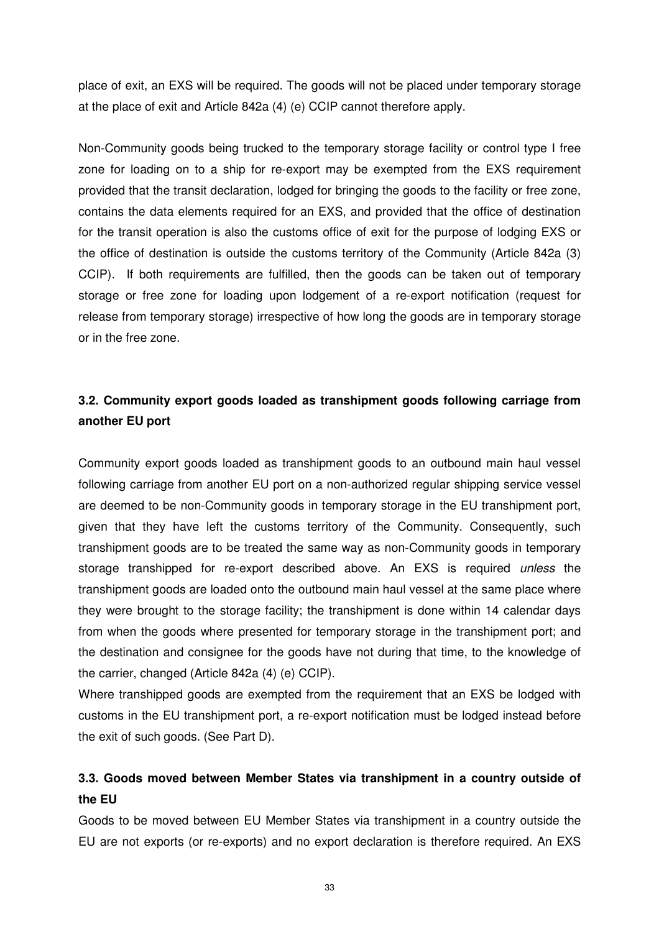place of exit, an EXS will be required. The goods will not be placed under temporary storage at the place of exit and Article 842a (4) (e) CCIP cannot therefore apply.

Non-Community goods being trucked to the temporary storage facility or control type I free zone for loading on to a ship for re-export may be exempted from the EXS requirement provided that the transit declaration, lodged for bringing the goods to the facility or free zone, contains the data elements required for an EXS, and provided that the office of destination for the transit operation is also the customs office of exit for the purpose of lodging EXS or the office of destination is outside the customs territory of the Community (Article 842a (3) CCIP). If both requirements are fulfilled, then the goods can be taken out of temporary storage or free zone for loading upon lodgement of a re-export notification (request for release from temporary storage) irrespective of how long the goods are in temporary storage or in the free zone.

# **3.2. Community export goods loaded as transhipment goods following carriage from another EU port**

Community export goods loaded as transhipment goods to an outbound main haul vessel following carriage from another EU port on a non-authorized regular shipping service vessel are deemed to be non-Community goods in temporary storage in the EU transhipment port, given that they have left the customs territory of the Community. Consequently, such transhipment goods are to be treated the same way as non-Community goods in temporary storage transhipped for re-export described above. An EXS is required unless the transhipment goods are loaded onto the outbound main haul vessel at the same place where they were brought to the storage facility; the transhipment is done within 14 calendar days from when the goods where presented for temporary storage in the transhipment port; and the destination and consignee for the goods have not during that time, to the knowledge of the carrier, changed (Article 842a (4) (e) CCIP).

Where transhipped goods are exempted from the requirement that an EXS be lodged with customs in the EU transhipment port, a re-export notification must be lodged instead before the exit of such goods. (See Part D).

# **3.3. Goods moved between Member States via transhipment in a country outside of the EU**

Goods to be moved between EU Member States via transhipment in a country outside the EU are not exports (or re-exports) and no export declaration is therefore required. An EXS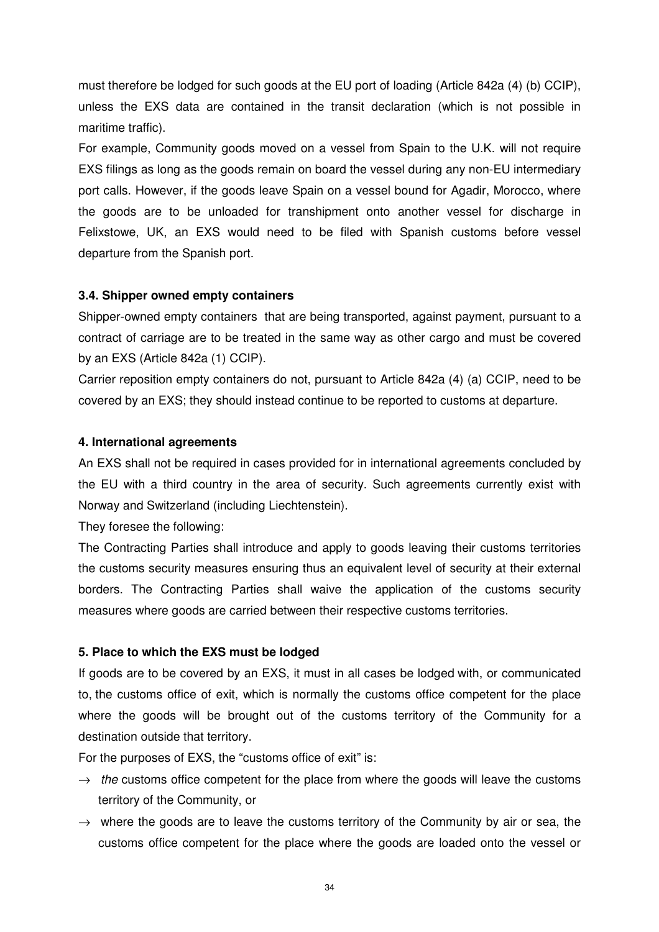must therefore be lodged for such goods at the EU port of loading (Article 842a (4) (b) CCIP), unless the EXS data are contained in the transit declaration (which is not possible in maritime traffic).

For example, Community goods moved on a vessel from Spain to the U.K. will not require EXS filings as long as the goods remain on board the vessel during any non-EU intermediary port calls. However, if the goods leave Spain on a vessel bound for Agadir, Morocco, where the goods are to be unloaded for transhipment onto another vessel for discharge in Felixstowe, UK, an EXS would need to be filed with Spanish customs before vessel departure from the Spanish port.

# **3.4. Shipper owned empty containers**

Shipper-owned empty containers that are being transported, against payment, pursuant to a contract of carriage are to be treated in the same way as other cargo and must be covered by an EXS (Article 842a (1) CCIP).

Carrier reposition empty containers do not, pursuant to Article 842a (4) (a) CCIP, need to be covered by an EXS; they should instead continue to be reported to customs at departure.

### **4. International agreements**

An EXS shall not be required in cases provided for in international agreements concluded by the EU with a third country in the area of security. Such agreements currently exist with Norway and Switzerland (including Liechtenstein).

They foresee the following:

The Contracting Parties shall introduce and apply to goods leaving their customs territories the customs security measures ensuring thus an equivalent level of security at their external borders. The Contracting Parties shall waive the application of the customs security measures where goods are carried between their respective customs territories.

### **5. Place to which the EXS must be lodged**

If goods are to be covered by an EXS, it must in all cases be lodged with, or communicated to, the customs office of exit, which is normally the customs office competent for the place where the goods will be brought out of the customs territory of the Community for a destination outside that territory.

For the purposes of EXS, the "customs office of exit" is:

- $\rightarrow$  the customs office competent for the place from where the goods will leave the customs territory of the Community, or
- $\rightarrow$  where the goods are to leave the customs territory of the Community by air or sea, the customs office competent for the place where the goods are loaded onto the vessel or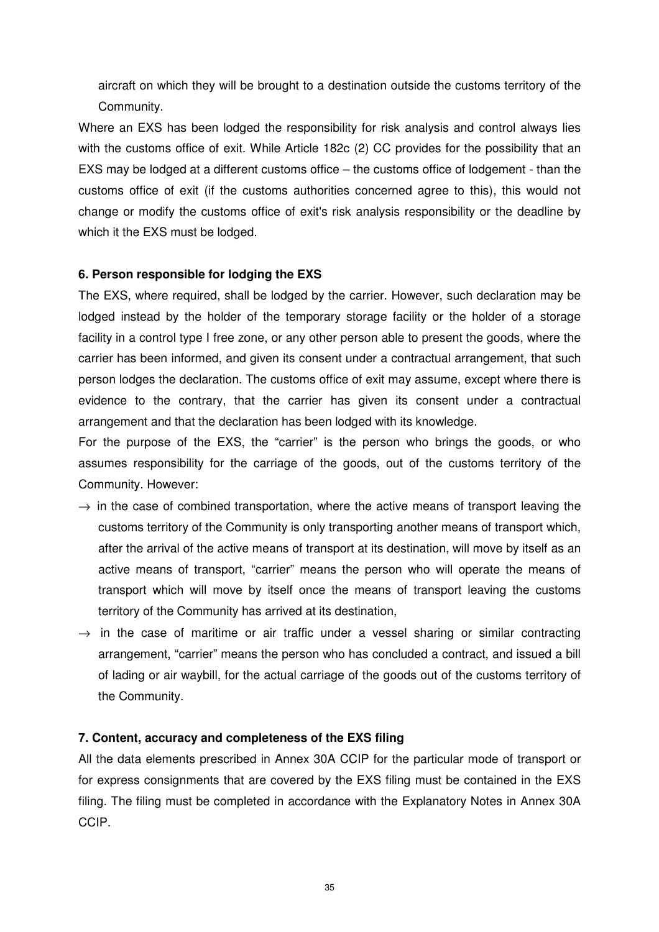aircraft on which they will be brought to a destination outside the customs territory of the Community.

Where an EXS has been lodged the responsibility for risk analysis and control always lies with the customs office of exit. While Article 182c (2) CC provides for the possibility that an EXS may be lodged at a different customs office – the customs office of lodgement - than the customs office of exit (if the customs authorities concerned agree to this), this would not change or modify the customs office of exit's risk analysis responsibility or the deadline by which it the EXS must be lodged.

# **6. Person responsible for lodging the EXS**

The EXS, where required, shall be lodged by the carrier. However, such declaration may be lodged instead by the holder of the temporary storage facility or the holder of a storage facility in a control type I free zone, or any other person able to present the goods, where the carrier has been informed, and given its consent under a contractual arrangement, that such person lodges the declaration. The customs office of exit may assume, except where there is evidence to the contrary, that the carrier has given its consent under a contractual arrangement and that the declaration has been lodged with its knowledge.

For the purpose of the EXS, the "carrier" is the person who brings the goods, or who assumes responsibility for the carriage of the goods, out of the customs territory of the Community. However:

- $\rightarrow$  in the case of combined transportation, where the active means of transport leaving the customs territory of the Community is only transporting another means of transport which, after the arrival of the active means of transport at its destination, will move by itself as an active means of transport, "carrier" means the person who will operate the means of transport which will move by itself once the means of transport leaving the customs territory of the Community has arrived at its destination,
- $\rightarrow$  in the case of maritime or air traffic under a vessel sharing or similar contracting arrangement, "carrier" means the person who has concluded a contract, and issued a bill of lading or air waybill, for the actual carriage of the goods out of the customs territory of the Community.

### **7. Content, accuracy and completeness of the EXS filing**

All the data elements prescribed in Annex 30A CCIP for the particular mode of transport or for express consignments that are covered by the EXS filing must be contained in the EXS filing. The filing must be completed in accordance with the Explanatory Notes in Annex 30A CCIP.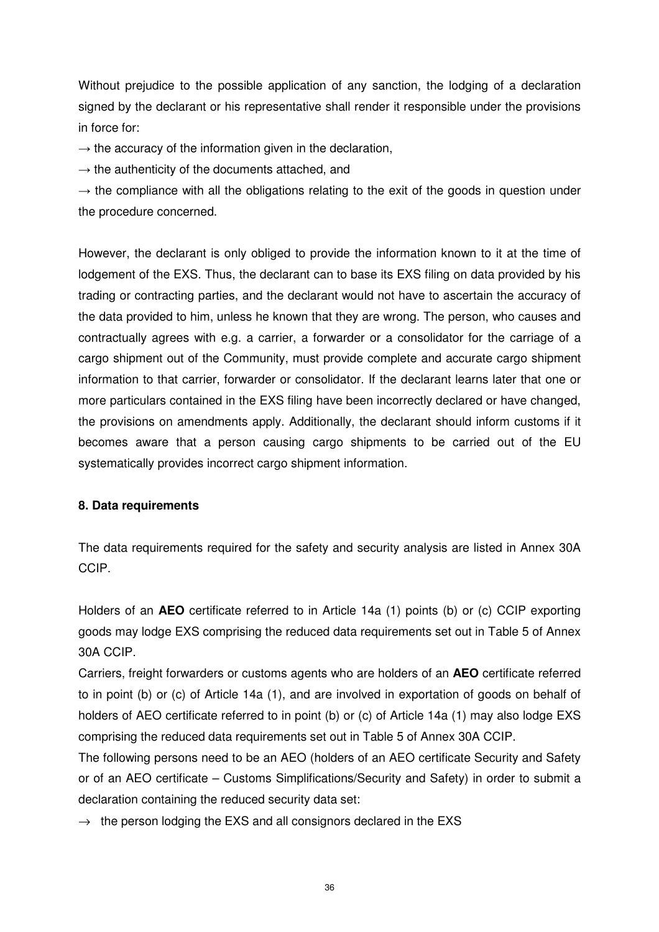Without prejudice to the possible application of any sanction, the lodging of a declaration signed by the declarant or his representative shall render it responsible under the provisions in force for:

 $\rightarrow$  the accuracy of the information given in the declaration,

 $\rightarrow$  the authenticity of the documents attached, and

 $\rightarrow$  the compliance with all the obligations relating to the exit of the goods in question under the procedure concerned.

However, the declarant is only obliged to provide the information known to it at the time of lodgement of the EXS. Thus, the declarant can to base its EXS filing on data provided by his trading or contracting parties, and the declarant would not have to ascertain the accuracy of the data provided to him, unless he known that they are wrong. The person, who causes and contractually agrees with e.g. a carrier, a forwarder or a consolidator for the carriage of a cargo shipment out of the Community, must provide complete and accurate cargo shipment information to that carrier, forwarder or consolidator. If the declarant learns later that one or more particulars contained in the EXS filing have been incorrectly declared or have changed, the provisions on amendments apply. Additionally, the declarant should inform customs if it becomes aware that a person causing cargo shipments to be carried out of the EU systematically provides incorrect cargo shipment information.

# **8. Data requirements**

The data requirements required for the safety and security analysis are listed in Annex 30A CCIP.

Holders of an **AEO** certificate referred to in Article 14a (1) points (b) or (c) CCIP exporting goods may lodge EXS comprising the reduced data requirements set out in Table 5 of Annex 30A CCIP.

Carriers, freight forwarders or customs agents who are holders of an **AEO** certificate referred to in point (b) or (c) of Article 14a (1), and are involved in exportation of goods on behalf of holders of AEO certificate referred to in point (b) or (c) of Article 14a (1) may also lodge EXS comprising the reduced data requirements set out in Table 5 of Annex 30A CCIP.

The following persons need to be an AEO (holders of an AEO certificate Security and Safety or of an AEO certificate – Customs Simplifications/Security and Safety) in order to submit a declaration containing the reduced security data set:

 $\rightarrow$  the person lodging the EXS and all consignors declared in the EXS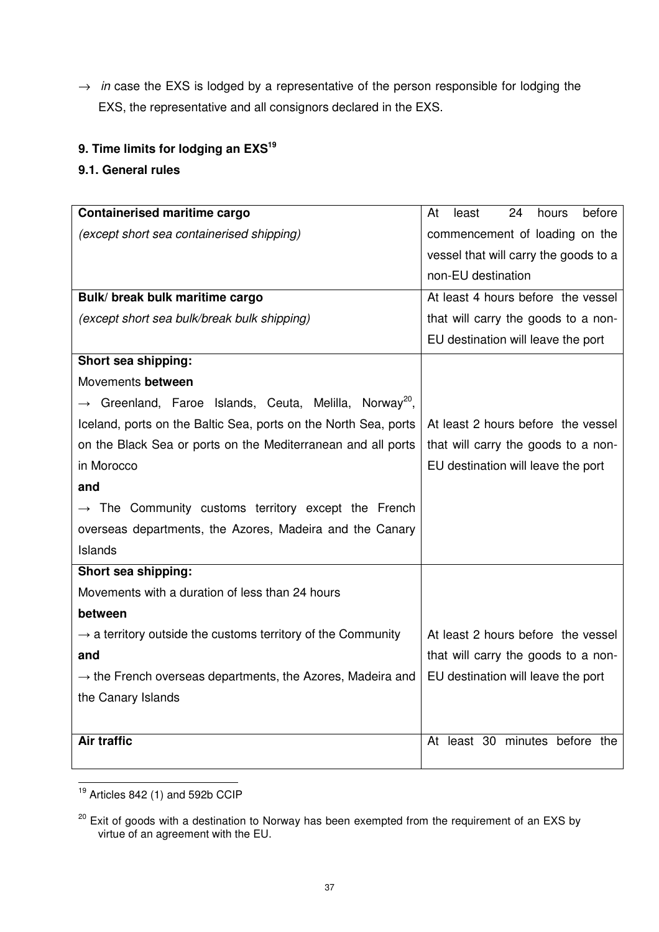$\rightarrow$  in case the EXS is lodged by a representative of the person responsible for lodging the EXS, the representative and all consignors declared in the EXS.

# **9. Time limits for lodging an EXS<sup>19</sup>**

# **9.1. General rules**

| <b>Containerised maritime cargo</b>                                            | 24<br>before<br>At<br>least<br>hours  |
|--------------------------------------------------------------------------------|---------------------------------------|
| (except short sea containerised shipping)                                      | commencement of loading on the        |
|                                                                                | vessel that will carry the goods to a |
|                                                                                | non-EU destination                    |
| Bulk/ break bulk maritime cargo                                                | At least 4 hours before the vessel    |
| (except short sea bulk/break bulk shipping)                                    | that will carry the goods to a non-   |
|                                                                                | EU destination will leave the port    |
| Short sea shipping:                                                            |                                       |
| Movements between                                                              |                                       |
| $\rightarrow$ Greenland, Faroe Islands, Ceuta, Melilla, Norway <sup>20</sup> , |                                       |
| Iceland, ports on the Baltic Sea, ports on the North Sea, ports                | At least 2 hours before the vessel    |
| on the Black Sea or ports on the Mediterranean and all ports                   | that will carry the goods to a non-   |
| in Morocco                                                                     | EU destination will leave the port    |
| and                                                                            |                                       |
| $\rightarrow$ The Community customs territory except the French                |                                       |
| overseas departments, the Azores, Madeira and the Canary                       |                                       |
| Islands                                                                        |                                       |
| Short sea shipping:                                                            |                                       |
| Movements with a duration of less than 24 hours                                |                                       |
| between                                                                        |                                       |
| $\rightarrow$ a territory outside the customs territory of the Community       | At least 2 hours before the vessel    |
| and                                                                            | that will carry the goods to a non-   |
| $\rightarrow$ the French overseas departments, the Azores, Madeira and         | EU destination will leave the port    |
| the Canary Islands                                                             |                                       |
|                                                                                |                                       |
| <b>Air traffic</b>                                                             | At least 30 minutes before the        |
|                                                                                |                                       |

 $19$  Articles 842 (1) and 592b CCIP

 $\overline{a}$ 

 $20$  Exit of goods with a destination to Norway has been exempted from the requirement of an EXS by virtue of an agreement with the EU.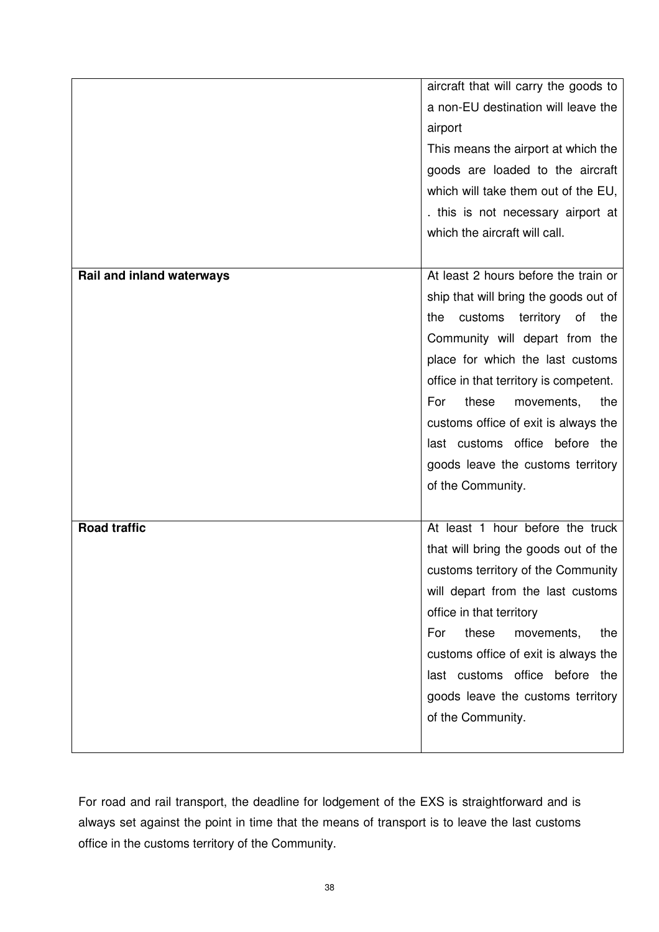| aircraft that will carry the goods to |                                                                     |  |
|---------------------------------------|---------------------------------------------------------------------|--|
|                                       | a non-EU destination will leave the                                 |  |
|                                       | airport                                                             |  |
|                                       | This means the airport at which the                                 |  |
|                                       | goods are loaded to the aircraft                                    |  |
|                                       | which will take them out of the EU,                                 |  |
|                                       | . this is not necessary airport at                                  |  |
|                                       | which the aircraft will call.                                       |  |
|                                       |                                                                     |  |
| Rail and inland waterways             | At least 2 hours before the train or                                |  |
|                                       | ship that will bring the goods out of                               |  |
|                                       | customs<br>territory<br>of<br>the<br>the                            |  |
|                                       | Community will depart from the                                      |  |
|                                       | place for which the last customs                                    |  |
|                                       | office in that territory is competent.                              |  |
|                                       | For<br>these<br>the<br>movements,                                   |  |
|                                       | customs office of exit is always the                                |  |
|                                       | last customs office before the                                      |  |
|                                       | goods leave the customs territory                                   |  |
|                                       | of the Community.                                                   |  |
|                                       |                                                                     |  |
| <b>Road traffic</b>                   | At least 1 hour before the truck                                    |  |
|                                       | that will bring the goods out of the                                |  |
|                                       | customs territory of the Community                                  |  |
|                                       | will depart from the last customs                                   |  |
|                                       | office in that territory                                            |  |
|                                       | these<br>For<br>the<br>movements,                                   |  |
|                                       | customs office of exit is always the                                |  |
|                                       | last customs office before the<br>goods leave the customs territory |  |
|                                       | of the Community.                                                   |  |
|                                       |                                                                     |  |
|                                       |                                                                     |  |

For road and rail transport, the deadline for lodgement of the EXS is straightforward and is always set against the point in time that the means of transport is to leave the last customs office in the customs territory of the Community.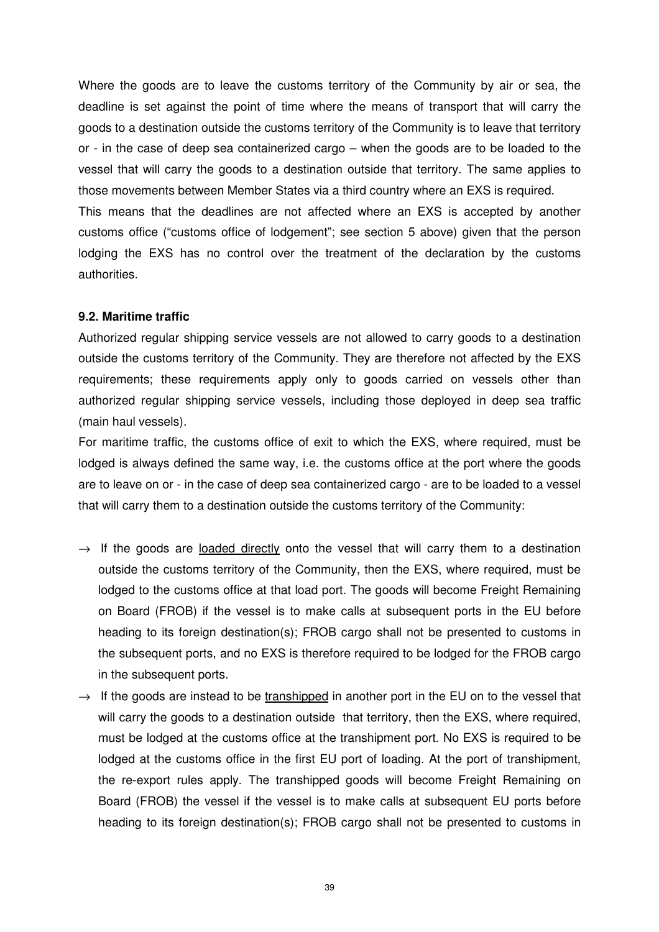Where the goods are to leave the customs territory of the Community by air or sea, the deadline is set against the point of time where the means of transport that will carry the goods to a destination outside the customs territory of the Community is to leave that territory or - in the case of deep sea containerized cargo – when the goods are to be loaded to the vessel that will carry the goods to a destination outside that territory. The same applies to those movements between Member States via a third country where an EXS is required. This means that the deadlines are not affected where an EXS is accepted by another customs office ("customs office of lodgement"; see section 5 above) given that the person

lodging the EXS has no control over the treatment of the declaration by the customs authorities.

# **9.2. Maritime traffic**

Authorized regular shipping service vessels are not allowed to carry goods to a destination outside the customs territory of the Community. They are therefore not affected by the EXS requirements; these requirements apply only to goods carried on vessels other than authorized regular shipping service vessels, including those deployed in deep sea traffic (main haul vessels).

For maritime traffic, the customs office of exit to which the EXS, where required, must be lodged is always defined the same way, i.e. the customs office at the port where the goods are to leave on or - in the case of deep sea containerized cargo - are to be loaded to a vessel that will carry them to a destination outside the customs territory of the Community:

- $\rightarrow$  If the goods are loaded directly onto the vessel that will carry them to a destination outside the customs territory of the Community, then the EXS, where required, must be lodged to the customs office at that load port. The goods will become Freight Remaining on Board (FROB) if the vessel is to make calls at subsequent ports in the EU before heading to its foreign destination(s); FROB cargo shall not be presented to customs in the subsequent ports, and no EXS is therefore required to be lodged for the FROB cargo in the subsequent ports.
- $\rightarrow$  If the goods are instead to be transhipped in another port in the EU on to the vessel that will carry the goods to a destination outside that territory, then the EXS, where required, must be lodged at the customs office at the transhipment port. No EXS is required to be lodged at the customs office in the first EU port of loading. At the port of transhipment, the re-export rules apply. The transhipped goods will become Freight Remaining on Board (FROB) the vessel if the vessel is to make calls at subsequent EU ports before heading to its foreign destination(s); FROB cargo shall not be presented to customs in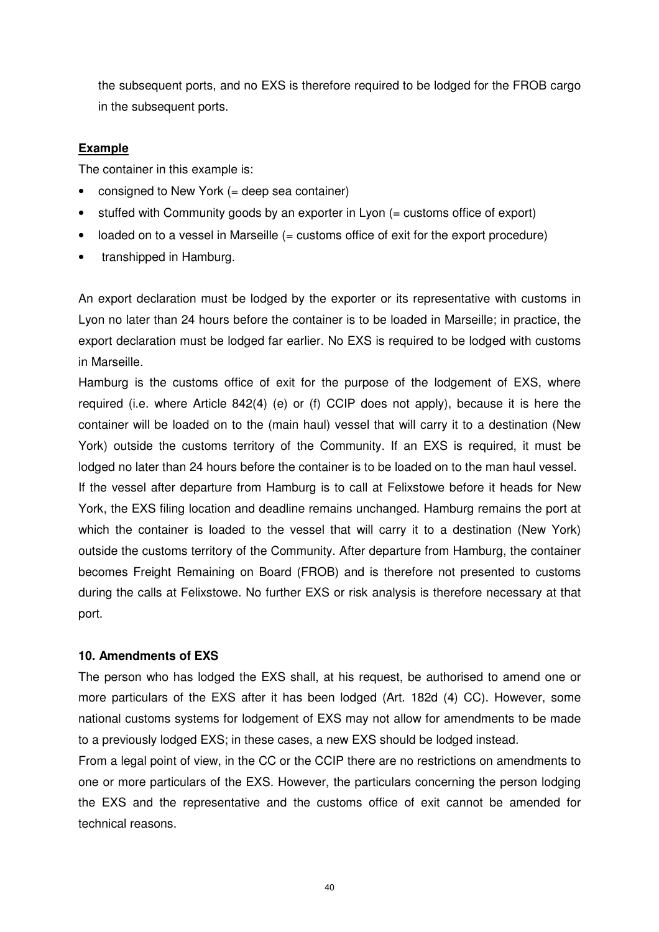the subsequent ports, and no EXS is therefore required to be lodged for the FROB cargo in the subsequent ports.

# **Example**

The container in this example is:

- consigned to New York (= deep sea container)
- stuffed with Community goods by an exporter in Lyon (= customs office of export)
- loaded on to a vessel in Marseille (= customs office of exit for the export procedure)
- transhipped in Hamburg.

An export declaration must be lodged by the exporter or its representative with customs in Lyon no later than 24 hours before the container is to be loaded in Marseille; in practice, the export declaration must be lodged far earlier. No EXS is required to be lodged with customs in Marseille.

Hamburg is the customs office of exit for the purpose of the lodgement of EXS, where required (i.e. where Article 842(4) (e) or (f) CCIP does not apply), because it is here the container will be loaded on to the (main haul) vessel that will carry it to a destination (New York) outside the customs territory of the Community. If an EXS is required, it must be lodged no later than 24 hours before the container is to be loaded on to the man haul vessel.

If the vessel after departure from Hamburg is to call at Felixstowe before it heads for New York, the EXS filing location and deadline remains unchanged. Hamburg remains the port at which the container is loaded to the vessel that will carry it to a destination (New York) outside the customs territory of the Community. After departure from Hamburg, the container becomes Freight Remaining on Board (FROB) and is therefore not presented to customs during the calls at Felixstowe. No further EXS or risk analysis is therefore necessary at that port.

# **10. Amendments of EXS**

The person who has lodged the EXS shall, at his request, be authorised to amend one or more particulars of the EXS after it has been lodged (Art. 182d (4) CC). However, some national customs systems for lodgement of EXS may not allow for amendments to be made to a previously lodged EXS; in these cases, a new EXS should be lodged instead.

From a legal point of view, in the CC or the CCIP there are no restrictions on amendments to one or more particulars of the EXS. However, the particulars concerning the person lodging the EXS and the representative and the customs office of exit cannot be amended for technical reasons.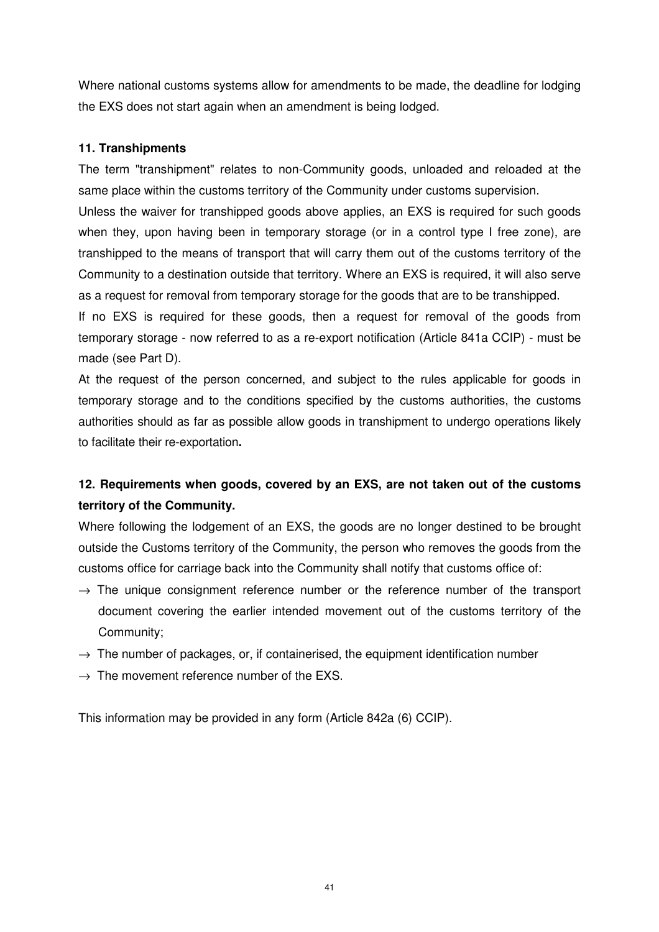Where national customs systems allow for amendments to be made, the deadline for lodging the EXS does not start again when an amendment is being lodged.

# **11. Transhipments**

The term "transhipment" relates to non-Community goods, unloaded and reloaded at the same place within the customs territory of the Community under customs supervision.

Unless the waiver for transhipped goods above applies, an EXS is required for such goods when they, upon having been in temporary storage (or in a control type I free zone), are transhipped to the means of transport that will carry them out of the customs territory of the Community to a destination outside that territory. Where an EXS is required, it will also serve as a request for removal from temporary storage for the goods that are to be transhipped.

If no EXS is required for these goods, then a request for removal of the goods from temporary storage - now referred to as a re-export notification (Article 841a CCIP) - must be made (see Part D).

At the request of the person concerned, and subject to the rules applicable for goods in temporary storage and to the conditions specified by the customs authorities, the customs authorities should as far as possible allow goods in transhipment to undergo operations likely to facilitate their re-exportation**.** 

# **12. Requirements when goods, covered by an EXS, are not taken out of the customs territory of the Community.**

Where following the lodgement of an EXS, the goods are no longer destined to be brought outside the Customs territory of the Community, the person who removes the goods from the customs office for carriage back into the Community shall notify that customs office of:

- $\rightarrow$  The unique consignment reference number or the reference number of the transport document covering the earlier intended movement out of the customs territory of the Community;
- $\rightarrow$  The number of packages, or, if containerised, the equipment identification number
- $\rightarrow$  The movement reference number of the EXS.

This information may be provided in any form (Article 842a (6) CCIP).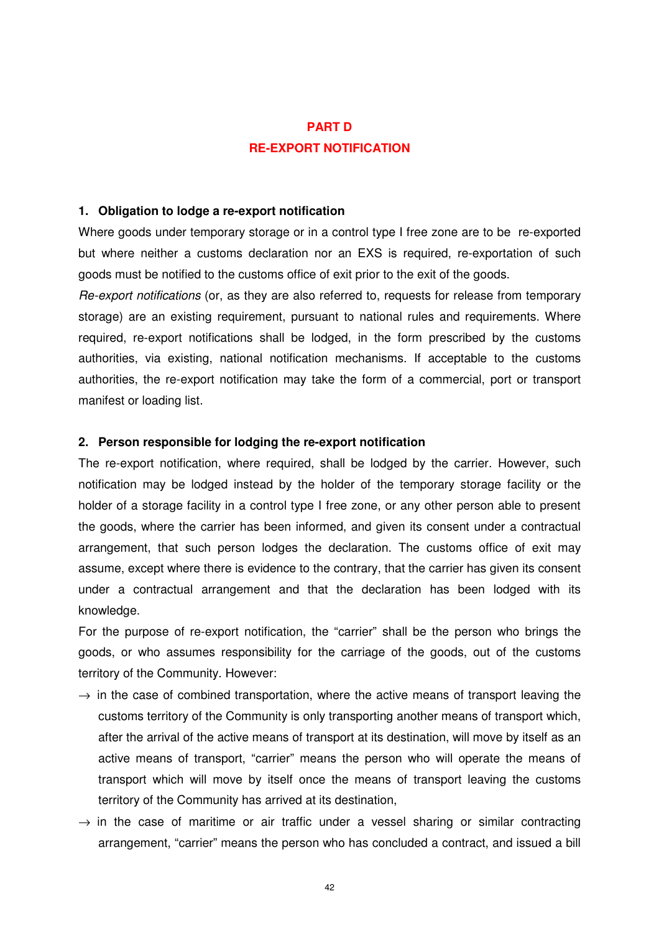# **PART D RE-EXPORT NOTIFICATION**

#### **1. Obligation to lodge a re-export notification**

Where goods under temporary storage or in a control type I free zone are to be re-exported but where neither a customs declaration nor an EXS is required, re-exportation of such goods must be notified to the customs office of exit prior to the exit of the goods.

Re-export notifications (or, as they are also referred to, requests for release from temporary storage) are an existing requirement, pursuant to national rules and requirements. Where required, re-export notifications shall be lodged, in the form prescribed by the customs authorities, via existing, national notification mechanisms. If acceptable to the customs authorities, the re-export notification may take the form of a commercial, port or transport manifest or loading list.

#### **2. Person responsible for lodging the re-export notification**

The re-export notification, where required, shall be lodged by the carrier. However, such notification may be lodged instead by the holder of the temporary storage facility or the holder of a storage facility in a control type I free zone, or any other person able to present the goods, where the carrier has been informed, and given its consent under a contractual arrangement, that such person lodges the declaration. The customs office of exit may assume, except where there is evidence to the contrary, that the carrier has given its consent under a contractual arrangement and that the declaration has been lodged with its knowledge.

For the purpose of re-export notification, the "carrier" shall be the person who brings the goods, or who assumes responsibility for the carriage of the goods, out of the customs territory of the Community. However:

- $\rightarrow$  in the case of combined transportation, where the active means of transport leaving the customs territory of the Community is only transporting another means of transport which, after the arrival of the active means of transport at its destination, will move by itself as an active means of transport, "carrier" means the person who will operate the means of transport which will move by itself once the means of transport leaving the customs territory of the Community has arrived at its destination,
- $\rightarrow$  in the case of maritime or air traffic under a vessel sharing or similar contracting arrangement, "carrier" means the person who has concluded a contract, and issued a bill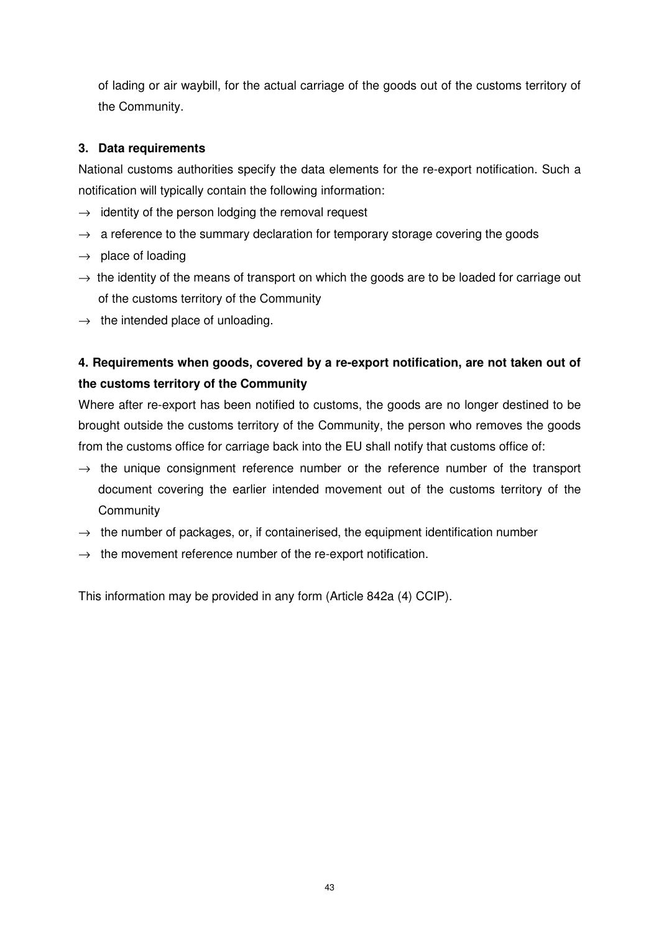of lading or air waybill, for the actual carriage of the goods out of the customs territory of the Community.

# **3. Data requirements**

National customs authorities specify the data elements for the re-export notification. Such a notification will typically contain the following information:

- $\rightarrow$  identity of the person lodging the removal request
- $\rightarrow$  a reference to the summary declaration for temporary storage covering the goods
- $\rightarrow$  place of loading
- $\rightarrow$  the identity of the means of transport on which the goods are to be loaded for carriage out of the customs territory of the Community
- $\rightarrow$  the intended place of unloading.

# **4. Requirements when goods, covered by a re-export notification, are not taken out of the customs territory of the Community**

Where after re-export has been notified to customs, the goods are no longer destined to be brought outside the customs territory of the Community, the person who removes the goods from the customs office for carriage back into the EU shall notify that customs office of:

- $\rightarrow$  the unique consignment reference number or the reference number of the transport document covering the earlier intended movement out of the customs territory of the **Community**
- $\rightarrow$  the number of packages, or, if containerised, the equipment identification number
- $\rightarrow$  the movement reference number of the re-export notification.

This information may be provided in any form (Article 842a (4) CCIP).